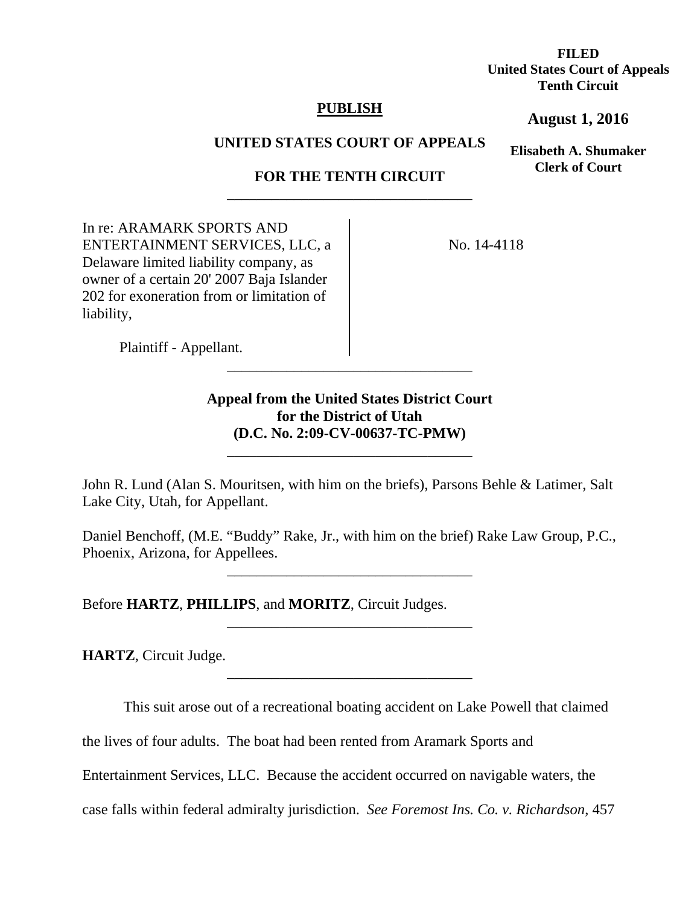**FILED United States Court of Appeals Tenth Circuit** 

## **PUBLISH**

**August 1, 2016**

**Elisabeth A. Shumaker Clerk of Court**

**UNITED STATES COURT OF APPEALS** 

# **FOR THE TENTH CIRCUIT**  \_\_\_\_\_\_\_\_\_\_\_\_\_\_\_\_\_\_\_\_\_\_\_\_\_\_\_\_\_\_\_\_\_

In re: ARAMARK SPORTS AND ENTERTAINMENT SERVICES, LLC, a Delaware limited liability company, as owner of a certain 20' 2007 Baja Islander 202 for exoneration from or limitation of liability,

No. 14-4118

Plaintiff - Appellant.

# **Appeal from the United States District Court for the District of Utah (D.C. No. 2:09-CV-00637-TC-PMW)**

\_\_\_\_\_\_\_\_\_\_\_\_\_\_\_\_\_\_\_\_\_\_\_\_\_\_\_\_\_\_\_\_\_

\_\_\_\_\_\_\_\_\_\_\_\_\_\_\_\_\_\_\_\_\_\_\_\_\_\_\_\_\_\_\_\_\_

John R. Lund (Alan S. Mouritsen, with him on the briefs), Parsons Behle & Latimer, Salt Lake City, Utah, for Appellant.

Daniel Benchoff, (M.E. "Buddy" Rake, Jr., with him on the brief) Rake Law Group, P.C., Phoenix, Arizona, for Appellees.

\_\_\_\_\_\_\_\_\_\_\_\_\_\_\_\_\_\_\_\_\_\_\_\_\_\_\_\_\_\_\_\_\_

\_\_\_\_\_\_\_\_\_\_\_\_\_\_\_\_\_\_\_\_\_\_\_\_\_\_\_\_\_\_\_\_\_

\_\_\_\_\_\_\_\_\_\_\_\_\_\_\_\_\_\_\_\_\_\_\_\_\_\_\_\_\_\_\_\_\_

Before **HARTZ**, **PHILLIPS**, and **MORITZ**, Circuit Judges.

**HARTZ**, Circuit Judge.

This suit arose out of a recreational boating accident on Lake Powell that claimed

the lives of four adults. The boat had been rented from Aramark Sports and

Entertainment Services, LLC. Because the accident occurred on navigable waters, the

case falls within federal admiralty jurisdiction. *See Foremost Ins. Co. v. Richardson*, 457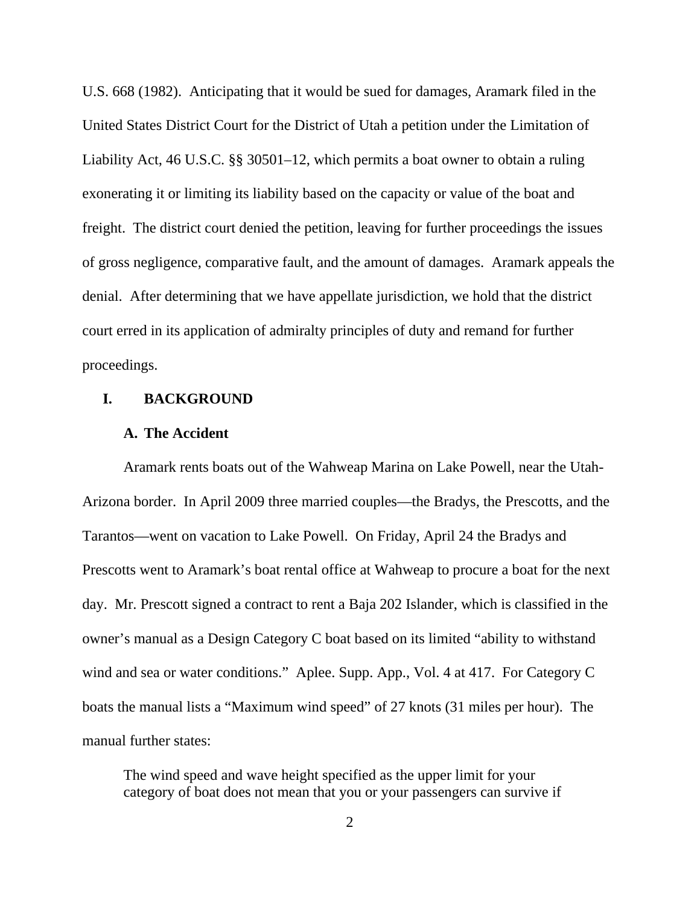U.S. 668 (1982). Anticipating that it would be sued for damages, Aramark filed in the United States District Court for the District of Utah a petition under the Limitation of Liability Act, 46 U.S.C. §§ 30501–12, which permits a boat owner to obtain a ruling exonerating it or limiting its liability based on the capacity or value of the boat and freight. The district court denied the petition, leaving for further proceedings the issues of gross negligence, comparative fault, and the amount of damages. Aramark appeals the denial. After determining that we have appellate jurisdiction, we hold that the district court erred in its application of admiralty principles of duty and remand for further proceedings.

## **I. BACKGROUND**

### **A. The Accident**

Aramark rents boats out of the Wahweap Marina on Lake Powell, near the Utah-Arizona border. In April 2009 three married couples—the Bradys, the Prescotts, and the Tarantos—went on vacation to Lake Powell. On Friday, April 24 the Bradys and Prescotts went to Aramark's boat rental office at Wahweap to procure a boat for the next day. Mr. Prescott signed a contract to rent a Baja 202 Islander, which is classified in the owner's manual as a Design Category C boat based on its limited "ability to withstand wind and sea or water conditions." Aplee. Supp. App., Vol. 4 at 417. For Category C boats the manual lists a "Maximum wind speed" of 27 knots (31 miles per hour). The manual further states:

The wind speed and wave height specified as the upper limit for your category of boat does not mean that you or your passengers can survive if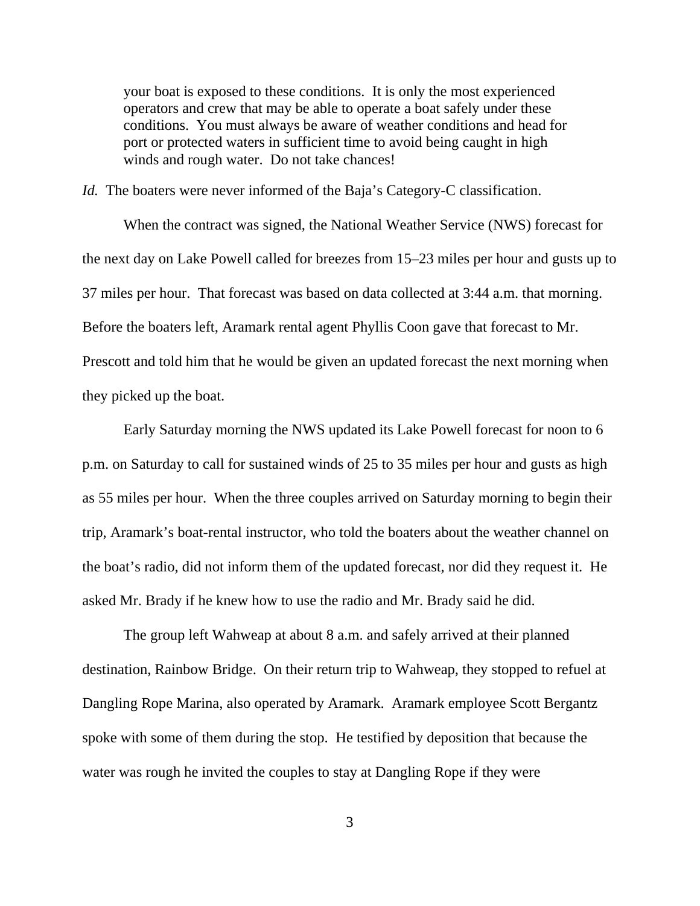your boat is exposed to these conditions. It is only the most experienced operators and crew that may be able to operate a boat safely under these conditions. You must always be aware of weather conditions and head for port or protected waters in sufficient time to avoid being caught in high winds and rough water. Do not take chances!

*Id.* The boaters were never informed of the Baja's Category-C classification.

When the contract was signed, the National Weather Service (NWS) forecast for the next day on Lake Powell called for breezes from 15–23 miles per hour and gusts up to 37 miles per hour. That forecast was based on data collected at 3:44 a.m. that morning. Before the boaters left, Aramark rental agent Phyllis Coon gave that forecast to Mr. Prescott and told him that he would be given an updated forecast the next morning when they picked up the boat.

Early Saturday morning the NWS updated its Lake Powell forecast for noon to 6 p.m. on Saturday to call for sustained winds of 25 to 35 miles per hour and gusts as high as 55 miles per hour. When the three couples arrived on Saturday morning to begin their trip, Aramark's boat-rental instructor, who told the boaters about the weather channel on the boat's radio, did not inform them of the updated forecast, nor did they request it. He asked Mr. Brady if he knew how to use the radio and Mr. Brady said he did.

The group left Wahweap at about 8 a.m. and safely arrived at their planned destination, Rainbow Bridge. On their return trip to Wahweap, they stopped to refuel at Dangling Rope Marina, also operated by Aramark. Aramark employee Scott Bergantz spoke with some of them during the stop. He testified by deposition that because the water was rough he invited the couples to stay at Dangling Rope if they were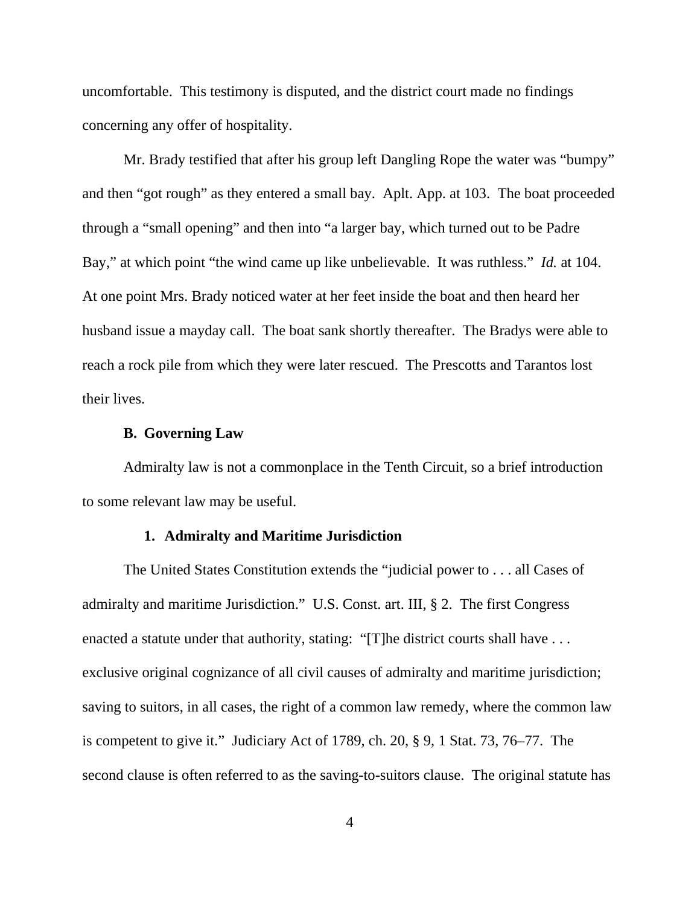uncomfortable. This testimony is disputed, and the district court made no findings concerning any offer of hospitality.

Mr. Brady testified that after his group left Dangling Rope the water was "bumpy" and then "got rough" as they entered a small bay. Aplt. App. at 103. The boat proceeded through a "small opening" and then into "a larger bay, which turned out to be Padre Bay," at which point "the wind came up like unbelievable. It was ruthless." *Id.* at 104. At one point Mrs. Brady noticed water at her feet inside the boat and then heard her husband issue a mayday call. The boat sank shortly thereafter. The Bradys were able to reach a rock pile from which they were later rescued. The Prescotts and Tarantos lost their lives.

### **B. Governing Law**

Admiralty law is not a commonplace in the Tenth Circuit, so a brief introduction to some relevant law may be useful.

### **1. Admiralty and Maritime Jurisdiction**

The United States Constitution extends the "judicial power to . . . all Cases of admiralty and maritime Jurisdiction." U.S. Const. art. III, § 2. The first Congress enacted a statute under that authority, stating: "[T]he district courts shall have ... exclusive original cognizance of all civil causes of admiralty and maritime jurisdiction; saving to suitors, in all cases, the right of a common law remedy, where the common law is competent to give it." Judiciary Act of 1789, ch. 20, § 9, 1 Stat. 73, 76–77. The second clause is often referred to as the saving-to-suitors clause. The original statute has

4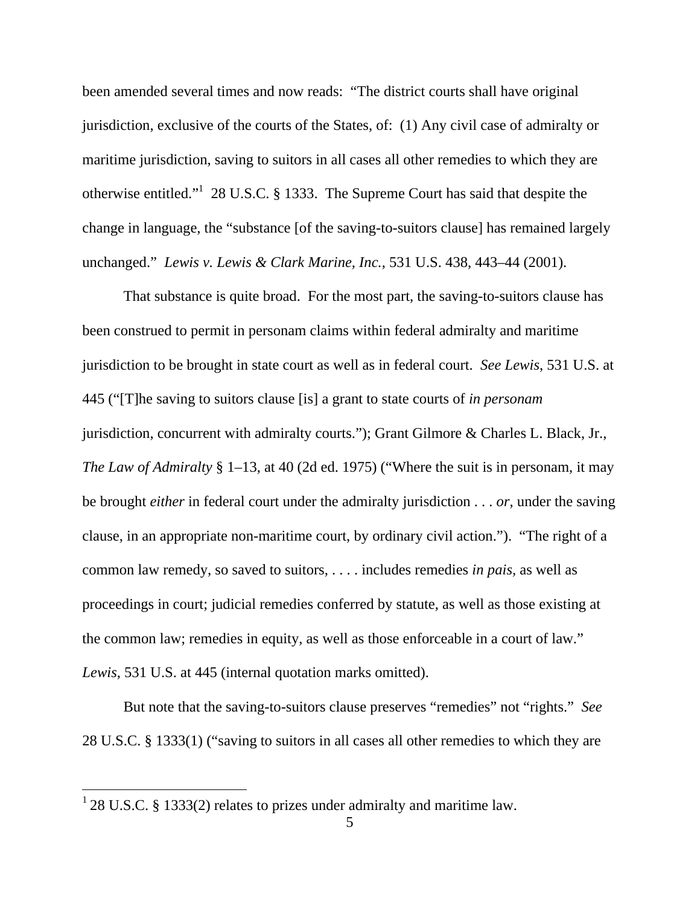been amended several times and now reads: "The district courts shall have original jurisdiction, exclusive of the courts of the States, of: (1) Any civil case of admiralty or maritime jurisdiction, saving to suitors in all cases all other remedies to which they are otherwise entitled."<sup>1</sup> 28 U.S.C. § 1333. The Supreme Court has said that despite the change in language, the "substance [of the saving-to-suitors clause] has remained largely unchanged." *Lewis v. Lewis & Clark Marine, Inc.*, 531 U.S. 438, 443–44 (2001).

That substance is quite broad. For the most part, the saving-to-suitors clause has been construed to permit in personam claims within federal admiralty and maritime jurisdiction to be brought in state court as well as in federal court. *See Lewis*, 531 U.S. at 445 ("[T]he saving to suitors clause [is] a grant to state courts of *in personam* jurisdiction, concurrent with admiralty courts."); Grant Gilmore & Charles L. Black, Jr., *The Law of Admiralty* § 1–13, at 40 (2d ed. 1975) ("Where the suit is in personam, it may be brought *either* in federal court under the admiralty jurisdiction . . . *or*, under the saving clause, in an appropriate non-maritime court, by ordinary civil action."). "The right of a common law remedy, so saved to suitors, . . . . includes remedies *in pais,* as well as proceedings in court; judicial remedies conferred by statute, as well as those existing at the common law; remedies in equity, as well as those enforceable in a court of law." *Lewis*, 531 U.S. at 445 (internal quotation marks omitted).

But note that the saving-to-suitors clause preserves "remedies" not "rights." *See*  28 U.S.C. § 1333(1) ("saving to suitors in all cases all other remedies to which they are

 $\overline{a}$ 

 $128$  U.S.C. § 1333(2) relates to prizes under admiralty and maritime law.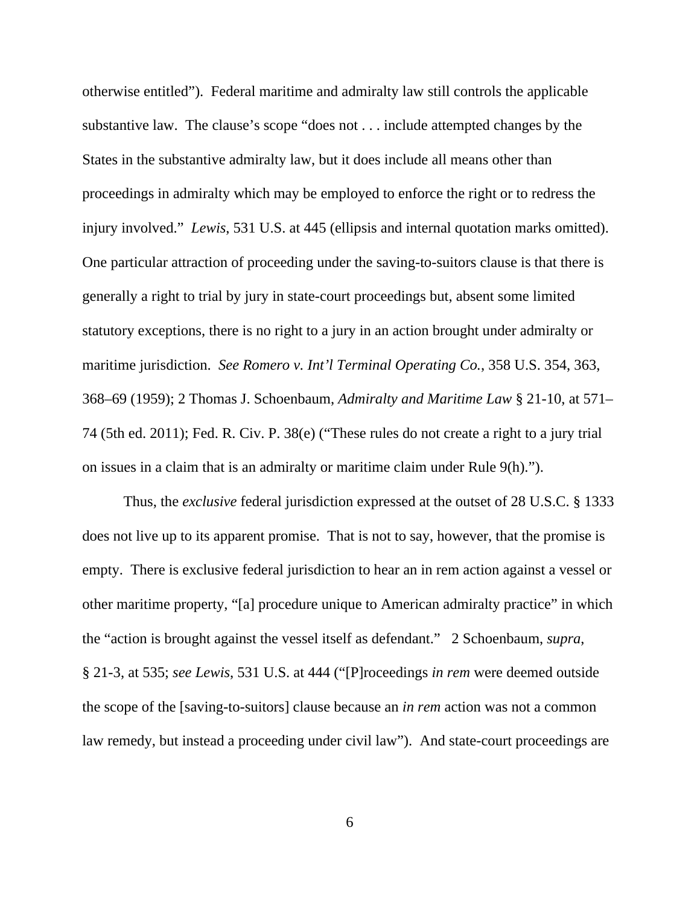otherwise entitled"). Federal maritime and admiralty law still controls the applicable substantive law. The clause's scope "does not . . . include attempted changes by the States in the substantive admiralty law, but it does include all means other than proceedings in admiralty which may be employed to enforce the right or to redress the injury involved." *Lewis*, 531 U.S. at 445 (ellipsis and internal quotation marks omitted). One particular attraction of proceeding under the saving-to-suitors clause is that there is generally a right to trial by jury in state-court proceedings but, absent some limited statutory exceptions, there is no right to a jury in an action brought under admiralty or maritime jurisdiction. *See Romero v. Int'l Terminal Operating Co.*, 358 U.S. 354, 363, 368–69 (1959); 2 Thomas J. Schoenbaum, *Admiralty and Maritime Law* § 21-10, at 571– 74 (5th ed. 2011); Fed. R. Civ. P. 38(e) ("These rules do not create a right to a jury trial on issues in a claim that is an admiralty or maritime claim under Rule 9(h).").

Thus, the *exclusive* federal jurisdiction expressed at the outset of 28 U.S.C. § 1333 does not live up to its apparent promise. That is not to say, however, that the promise is empty. There is exclusive federal jurisdiction to hear an in rem action against a vessel or other maritime property, "[a] procedure unique to American admiralty practice" in which the "action is brought against the vessel itself as defendant." 2 Schoenbaum, *supra*, § 21-3, at 535; *see Lewis*, 531 U.S. at 444 ("[P]roceedings *in rem* were deemed outside the scope of the [saving-to-suitors] clause because an *in rem* action was not a common law remedy, but instead a proceeding under civil law"). And state-court proceedings are

6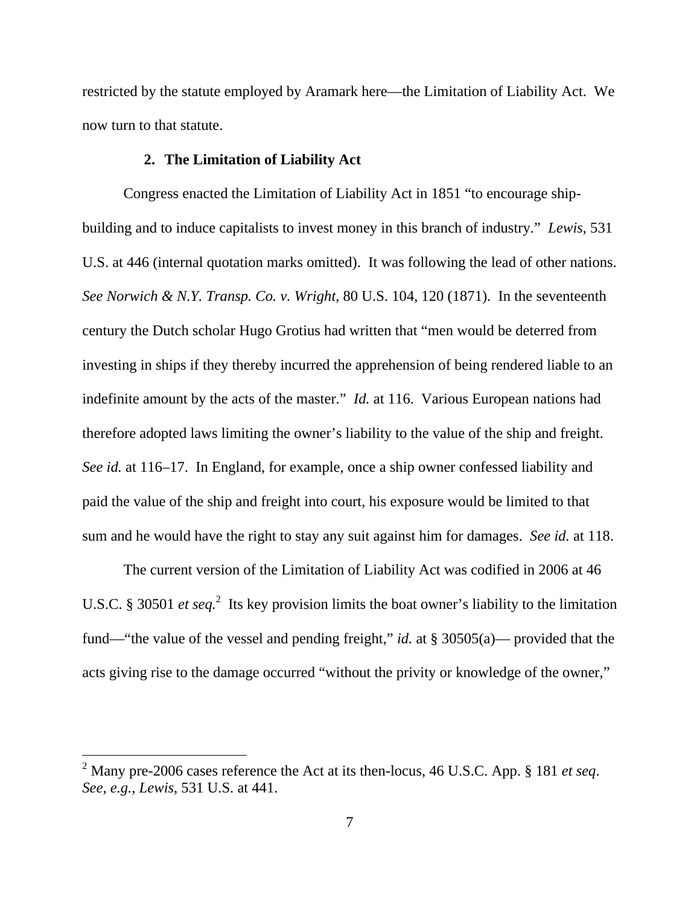restricted by the statute employed by Aramark here—the Limitation of Liability Act. We now turn to that statute.

### **2. The Limitation of Liability Act**

Congress enacted the Limitation of Liability Act in 1851 "to encourage shipbuilding and to induce capitalists to invest money in this branch of industry." *Lewis*, 531 U.S. at 446 (internal quotation marks omitted). It was following the lead of other nations. *See Norwich & N.Y. Transp. Co. v. Wright*, 80 U.S. 104, 120 (1871). In the seventeenth century the Dutch scholar Hugo Grotius had written that "men would be deterred from investing in ships if they thereby incurred the apprehension of being rendered liable to an indefinite amount by the acts of the master." *Id.* at 116. Various European nations had therefore adopted laws limiting the owner's liability to the value of the ship and freight. *See id.* at 116–17. In England, for example, once a ship owner confessed liability and paid the value of the ship and freight into court, his exposure would be limited to that sum and he would have the right to stay any suit against him for damages. *See id.* at 118.

The current version of the Limitation of Liability Act was codified in 2006 at 46 U.S.C. § 30501 *et seq*.<sup>2</sup> Its key provision limits the boat owner's liability to the limitation fund—"the value of the vessel and pending freight," *id.* at § 30505(a)— provided that the acts giving rise to the damage occurred "without the privity or knowledge of the owner,"

 $\overline{a}$ 

<sup>2</sup> Many pre-2006 cases reference the Act at its then-locus, 46 U.S.C. App. § 181 *et seq*. *See, e.g.*, *Lewis*, 531 U.S. at 441.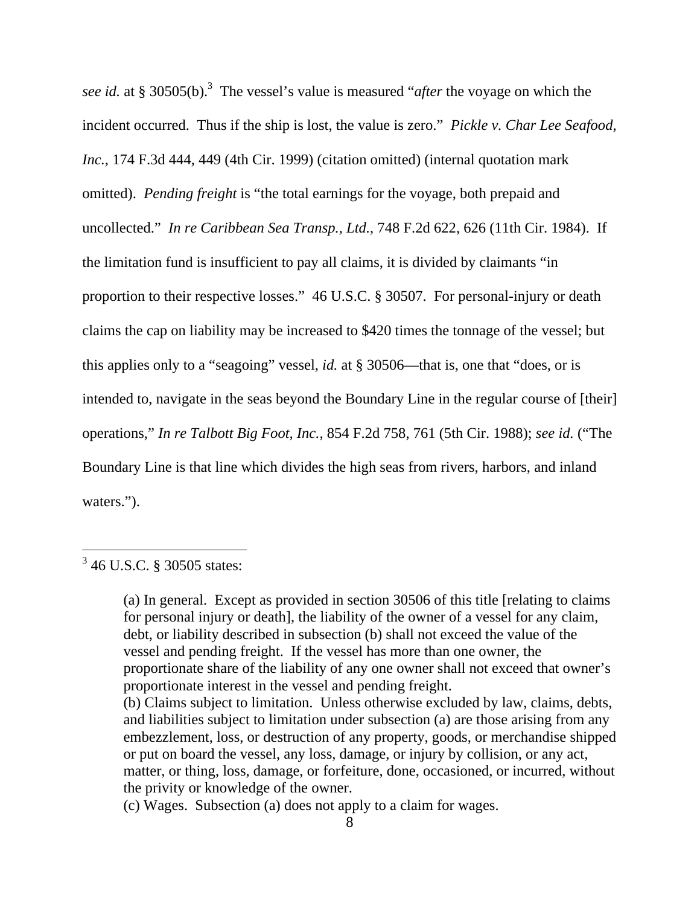see *id.* at § 30505(b).<sup>3</sup> The vessel's value is measured "*after* the voyage on which the incident occurred. Thus if the ship is lost, the value is zero." *Pickle v. Char Lee Seafood, Inc.*, 174 F.3d 444, 449 (4th Cir. 1999) (citation omitted) (internal quotation mark omitted). *Pending freight* is "the total earnings for the voyage, both prepaid and uncollected." *In re Caribbean Sea Transp., Ltd.*, 748 F.2d 622, 626 (11th Cir. 1984). If the limitation fund is insufficient to pay all claims, it is divided by claimants "in proportion to their respective losses." 46 U.S.C. § 30507. For personal-injury or death claims the cap on liability may be increased to \$420 times the tonnage of the vessel; but this applies only to a "seagoing" vessel, *id.* at § 30506—that is, one that "does, or is intended to, navigate in the seas beyond the Boundary Line in the regular course of [their] operations," *In re Talbott Big Foot, Inc.*, 854 F.2d 758, 761 (5th Cir. 1988); *see id.* ("The Boundary Line is that line which divides the high seas from rivers, harbors, and inland waters.").

 $\overline{a}$ 

(a) In general. Except as provided in section 30506 of this title [relating to claims for personal injury or death], the liability of the owner of a vessel for any claim, debt, or liability described in subsection (b) shall not exceed the value of the vessel and pending freight. If the vessel has more than one owner, the proportionate share of the liability of any one owner shall not exceed that owner's proportionate interest in the vessel and pending freight.

<sup>&</sup>lt;sup>3</sup> 46 U.S.C. § 30505 states:

<sup>(</sup>b) Claims subject to limitation. Unless otherwise excluded by law, claims, debts, and liabilities subject to limitation under subsection (a) are those arising from any embezzlement, loss, or destruction of any property, goods, or merchandise shipped or put on board the vessel, any loss, damage, or injury by collision, or any act, matter, or thing, loss, damage, or forfeiture, done, occasioned, or incurred, without the privity or knowledge of the owner.

<sup>(</sup>c) Wages. Subsection (a) does not apply to a claim for wages.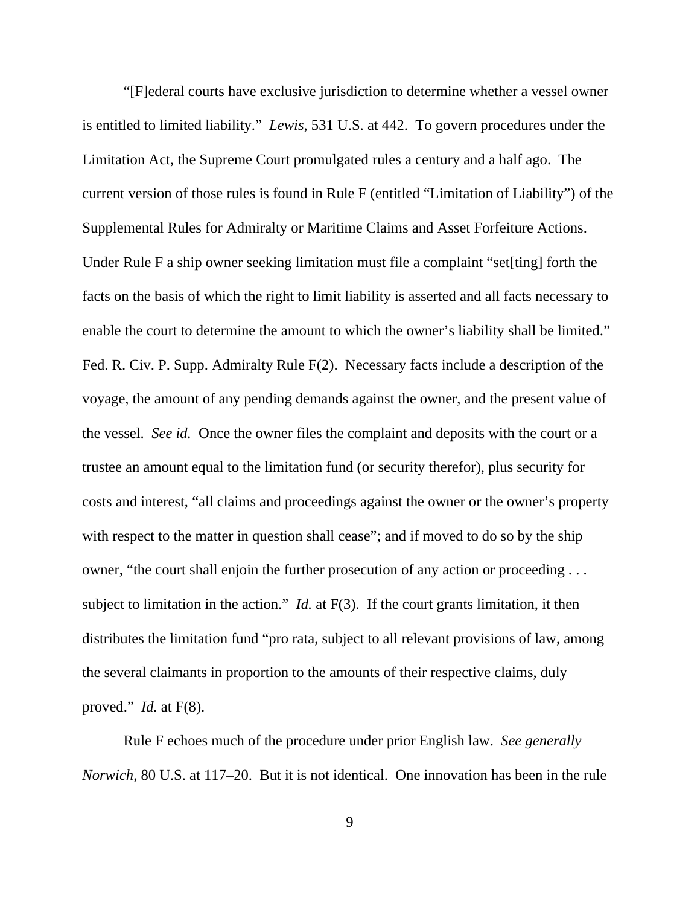"[F]ederal courts have exclusive jurisdiction to determine whether a vessel owner is entitled to limited liability." *Lewis*, 531 U.S. at 442. To govern procedures under the Limitation Act, the Supreme Court promulgated rules a century and a half ago. The current version of those rules is found in Rule F (entitled "Limitation of Liability") of the Supplemental Rules for Admiralty or Maritime Claims and Asset Forfeiture Actions. Under Rule F a ship owner seeking limitation must file a complaint "set[ting] forth the facts on the basis of which the right to limit liability is asserted and all facts necessary to enable the court to determine the amount to which the owner's liability shall be limited." Fed. R. Civ. P. Supp. Admiralty Rule F(2). Necessary facts include a description of the voyage, the amount of any pending demands against the owner, and the present value of the vessel. *See id.* Once the owner files the complaint and deposits with the court or a trustee an amount equal to the limitation fund (or security therefor), plus security for costs and interest, "all claims and proceedings against the owner or the owner's property with respect to the matter in question shall cease"; and if moved to do so by the ship owner, "the court shall enjoin the further prosecution of any action or proceeding . . . subject to limitation in the action." *Id.* at F(3). If the court grants limitation, it then distributes the limitation fund "pro rata, subject to all relevant provisions of law, among the several claimants in proportion to the amounts of their respective claims, duly proved." *Id.* at F(8).

Rule F echoes much of the procedure under prior English law. *See generally Norwich*, 80 U.S. at 117–20. But it is not identical. One innovation has been in the rule

9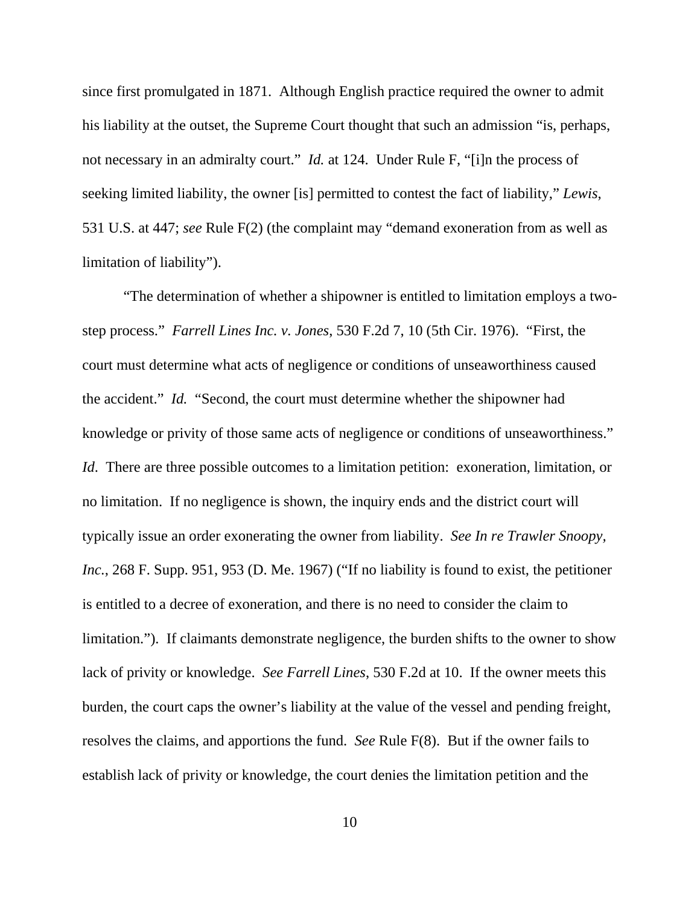since first promulgated in 1871. Although English practice required the owner to admit his liability at the outset, the Supreme Court thought that such an admission "is, perhaps, not necessary in an admiralty court." *Id.* at 124. Under Rule F, "[i]n the process of seeking limited liability, the owner [is] permitted to contest the fact of liability," *Lewis*, 531 U.S. at 447; *see* Rule F(2) (the complaint may "demand exoneration from as well as limitation of liability").

"The determination of whether a shipowner is entitled to limitation employs a twostep process." *Farrell Lines Inc. v. Jones*, 530 F.2d 7, 10 (5th Cir. 1976). "First, the court must determine what acts of negligence or conditions of unseaworthiness caused the accident." *Id.* "Second, the court must determine whether the shipowner had knowledge or privity of those same acts of negligence or conditions of unseaworthiness." *Id.* There are three possible outcomes to a limitation petition: exoneration, limitation, or no limitation. If no negligence is shown, the inquiry ends and the district court will typically issue an order exonerating the owner from liability. *See In re Trawler Snoopy, Inc.*, 268 F. Supp. 951, 953 (D. Me. 1967) ("If no liability is found to exist, the petitioner is entitled to a decree of exoneration, and there is no need to consider the claim to limitation."). If claimants demonstrate negligence, the burden shifts to the owner to show lack of privity or knowledge. *See Farrell Lines*, 530 F.2d at 10. If the owner meets this burden, the court caps the owner's liability at the value of the vessel and pending freight, resolves the claims, and apportions the fund. *See* Rule F(8). But if the owner fails to establish lack of privity or knowledge, the court denies the limitation petition and the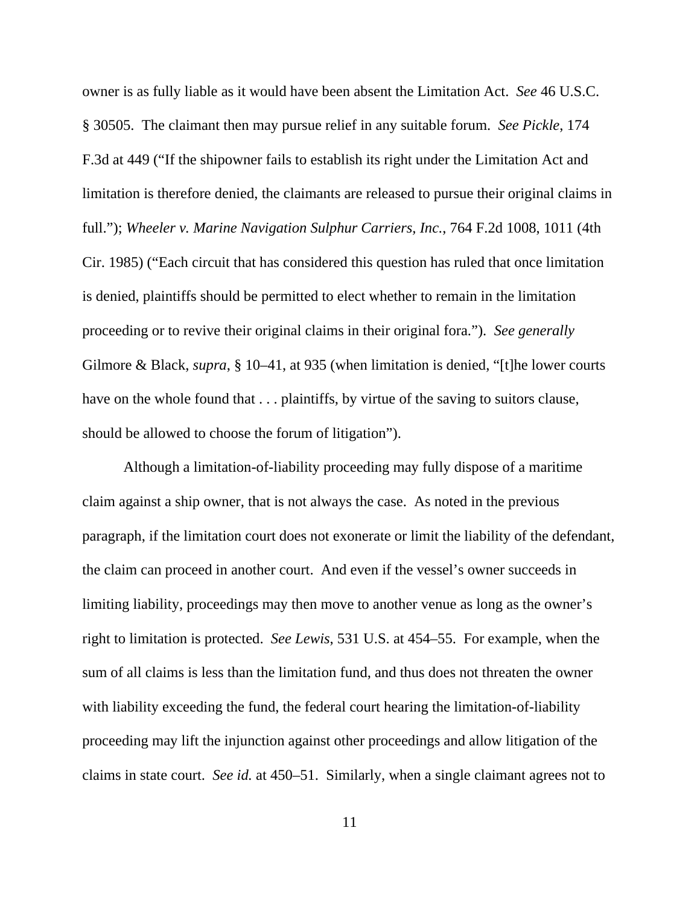owner is as fully liable as it would have been absent the Limitation Act. *See* 46 U.S.C. § 30505. The claimant then may pursue relief in any suitable forum. *See Pickle*, 174 F.3d at 449 ("If the shipowner fails to establish its right under the Limitation Act and limitation is therefore denied, the claimants are released to pursue their original claims in full."); *Wheeler v. Marine Navigation Sulphur Carriers, Inc.*, 764 F.2d 1008, 1011 (4th Cir. 1985) ("Each circuit that has considered this question has ruled that once limitation is denied, plaintiffs should be permitted to elect whether to remain in the limitation proceeding or to revive their original claims in their original fora."). *See generally*  Gilmore & Black, *supra*, § 10–41, at 935 (when limitation is denied, "[t]he lower courts have on the whole found that  $\ldots$  plaintiffs, by virtue of the saving to suitors clause, should be allowed to choose the forum of litigation").

Although a limitation-of-liability proceeding may fully dispose of a maritime claim against a ship owner, that is not always the case. As noted in the previous paragraph, if the limitation court does not exonerate or limit the liability of the defendant, the claim can proceed in another court. And even if the vessel's owner succeeds in limiting liability, proceedings may then move to another venue as long as the owner's right to limitation is protected. *See Lewis*, 531 U.S. at 454–55. For example, when the sum of all claims is less than the limitation fund, and thus does not threaten the owner with liability exceeding the fund, the federal court hearing the limitation-of-liability proceeding may lift the injunction against other proceedings and allow litigation of the claims in state court. *See id.* at 450–51. Similarly, when a single claimant agrees not to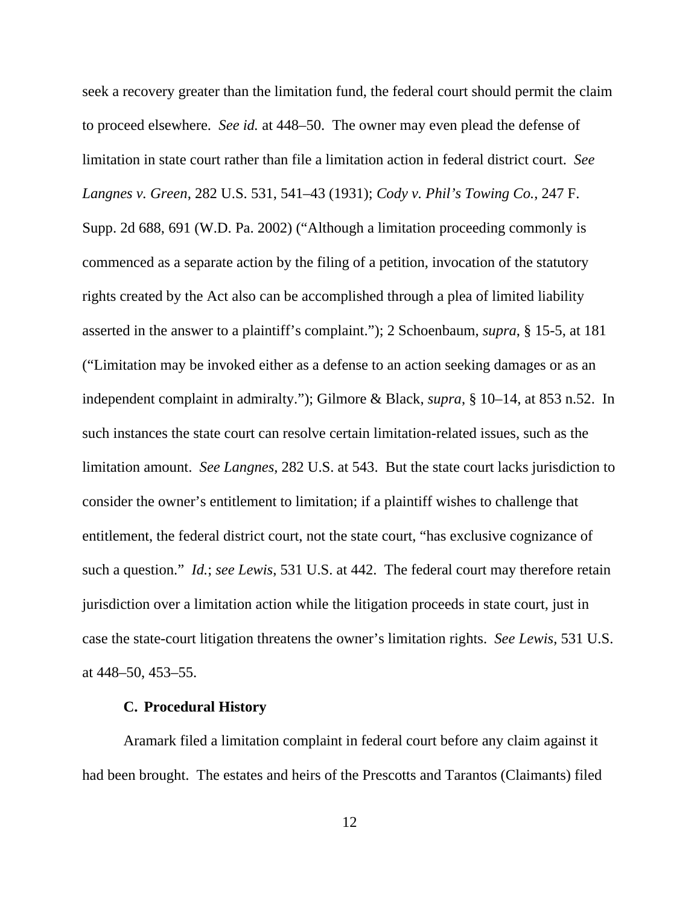seek a recovery greater than the limitation fund, the federal court should permit the claim to proceed elsewhere. *See id.* at 448–50. The owner may even plead the defense of limitation in state court rather than file a limitation action in federal district court. *See Langnes v. Green*, 282 U.S. 531, 541–43 (1931); *Cody v. Phil's Towing Co.*, 247 F. Supp. 2d 688, 691 (W.D. Pa. 2002) ("Although a limitation proceeding commonly is commenced as a separate action by the filing of a petition, invocation of the statutory rights created by the Act also can be accomplished through a plea of limited liability asserted in the answer to a plaintiff's complaint."); 2 Schoenbaum, *supra*, § 15-5, at 181 ("Limitation may be invoked either as a defense to an action seeking damages or as an independent complaint in admiralty."); Gilmore & Black, *supra*, § 10–14, at 853 n.52. In such instances the state court can resolve certain limitation-related issues, such as the limitation amount. *See Langnes*, 282 U.S. at 543. But the state court lacks jurisdiction to consider the owner's entitlement to limitation; if a plaintiff wishes to challenge that entitlement, the federal district court, not the state court, "has exclusive cognizance of such a question." *Id.*; *see Lewis*, 531 U.S. at 442. The federal court may therefore retain jurisdiction over a limitation action while the litigation proceeds in state court, just in case the state-court litigation threatens the owner's limitation rights. *See Lewis*, 531 U.S. at 448–50, 453–55.

## **C. Procedural History**

Aramark filed a limitation complaint in federal court before any claim against it had been brought. The estates and heirs of the Prescotts and Tarantos (Claimants) filed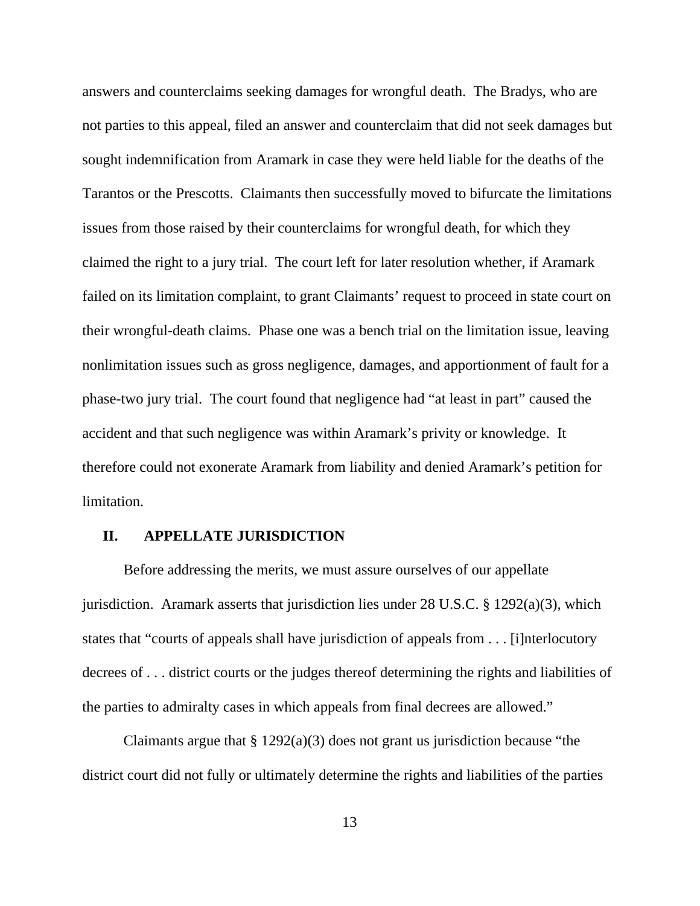answers and counterclaims seeking damages for wrongful death. The Bradys, who are not parties to this appeal, filed an answer and counterclaim that did not seek damages but sought indemnification from Aramark in case they were held liable for the deaths of the Tarantos or the Prescotts. Claimants then successfully moved to bifurcate the limitations issues from those raised by their counterclaims for wrongful death, for which they claimed the right to a jury trial. The court left for later resolution whether, if Aramark failed on its limitation complaint, to grant Claimants' request to proceed in state court on their wrongful-death claims. Phase one was a bench trial on the limitation issue, leaving nonlimitation issues such as gross negligence, damages, and apportionment of fault for a phase-two jury trial. The court found that negligence had "at least in part" caused the accident and that such negligence was within Aramark's privity or knowledge. It therefore could not exonerate Aramark from liability and denied Aramark's petition for limitation.

### **II. APPELLATE JURISDICTION**

Before addressing the merits, we must assure ourselves of our appellate jurisdiction. Aramark asserts that jurisdiction lies under 28 U.S.C. § 1292(a)(3), which states that "courts of appeals shall have jurisdiction of appeals from . . . [i]nterlocutory decrees of . . . district courts or the judges thereof determining the rights and liabilities of the parties to admiralty cases in which appeals from final decrees are allowed."

Claimants argue that  $\S 1292(a)(3)$  does not grant us jurisdiction because "the district court did not fully or ultimately determine the rights and liabilities of the parties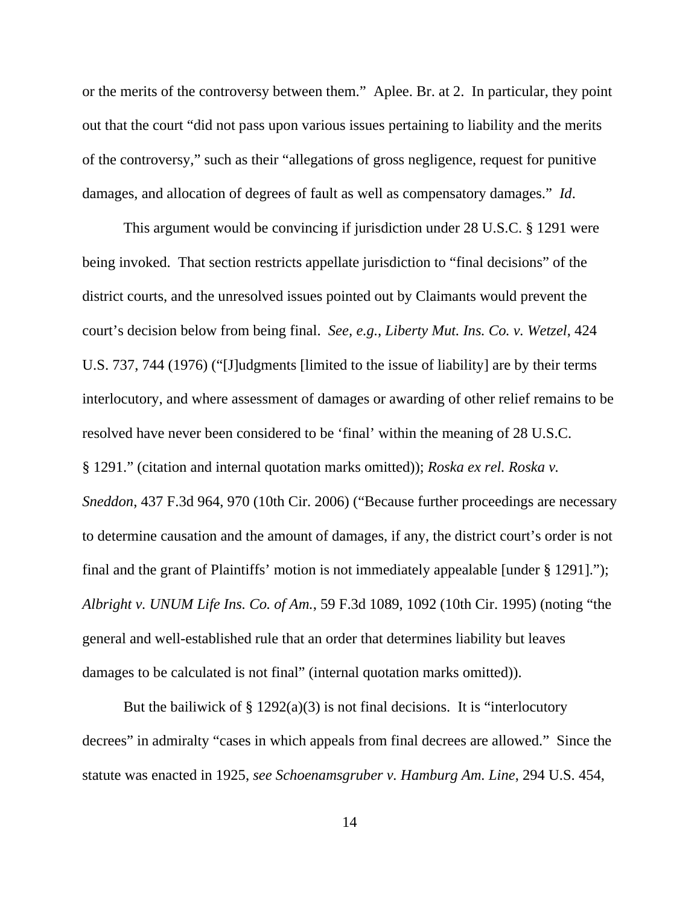or the merits of the controversy between them." Aplee. Br. at 2. In particular, they point out that the court "did not pass upon various issues pertaining to liability and the merits of the controversy," such as their "allegations of gross negligence, request for punitive damages, and allocation of degrees of fault as well as compensatory damages." *Id*.

This argument would be convincing if jurisdiction under 28 U.S.C. § 1291 were being invoked. That section restricts appellate jurisdiction to "final decisions" of the district courts, and the unresolved issues pointed out by Claimants would prevent the court's decision below from being final. *See, e.g.*, *Liberty Mut. Ins. Co. v. Wetzel*, 424 U.S. 737, 744 (1976) ("[J]udgments [limited to the issue of liability] are by their terms interlocutory, and where assessment of damages or awarding of other relief remains to be resolved have never been considered to be 'final' within the meaning of 28 U.S.C. § 1291." (citation and internal quotation marks omitted)); *Roska ex rel. Roska v. Sneddon*, 437 F.3d 964, 970 (10th Cir. 2006) ("Because further proceedings are necessary to determine causation and the amount of damages, if any, the district court's order is not final and the grant of Plaintiffs' motion is not immediately appealable [under § 1291]."); *Albright v. UNUM Life Ins. Co. of Am.*, 59 F.3d 1089, 1092 (10th Cir. 1995) (noting "the general and well-established rule that an order that determines liability but leaves damages to be calculated is not final" (internal quotation marks omitted)).

But the bailiwick of  $\S 1292(a)(3)$  is not final decisions. It is "interlocutory" decrees" in admiralty "cases in which appeals from final decrees are allowed." Since the statute was enacted in 1925, *see Schoenamsgruber v. Hamburg Am. Line*, 294 U.S. 454,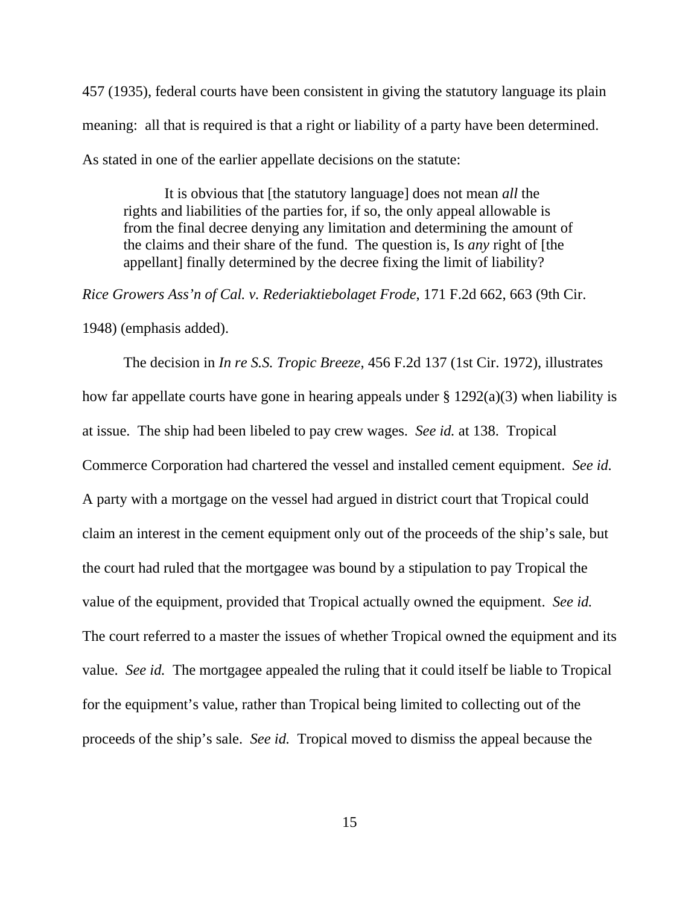457 (1935), federal courts have been consistent in giving the statutory language its plain meaning: all that is required is that a right or liability of a party have been determined. As stated in one of the earlier appellate decisions on the statute:

It is obvious that [the statutory language] does not mean *all* the rights and liabilities of the parties for, if so, the only appeal allowable is from the final decree denying any limitation and determining the amount of the claims and their share of the fund. The question is, Is *any* right of [the appellant] finally determined by the decree fixing the limit of liability?

*Rice Growers Ass'n of Cal. v. Rederiaktiebolaget Frode*, 171 F.2d 662, 663 (9th Cir.

1948) (emphasis added).

The decision in *In re S.S. Tropic Breeze*, 456 F.2d 137 (1st Cir. 1972), illustrates how far appellate courts have gone in hearing appeals under  $\S 1292(a)(3)$  when liability is at issue. The ship had been libeled to pay crew wages. *See id.* at 138. Tropical Commerce Corporation had chartered the vessel and installed cement equipment. *See id.*  A party with a mortgage on the vessel had argued in district court that Tropical could claim an interest in the cement equipment only out of the proceeds of the ship's sale, but the court had ruled that the mortgagee was bound by a stipulation to pay Tropical the value of the equipment, provided that Tropical actually owned the equipment. *See id.* The court referred to a master the issues of whether Tropical owned the equipment and its value. *See id.* The mortgagee appealed the ruling that it could itself be liable to Tropical for the equipment's value, rather than Tropical being limited to collecting out of the proceeds of the ship's sale. *See id.* Tropical moved to dismiss the appeal because the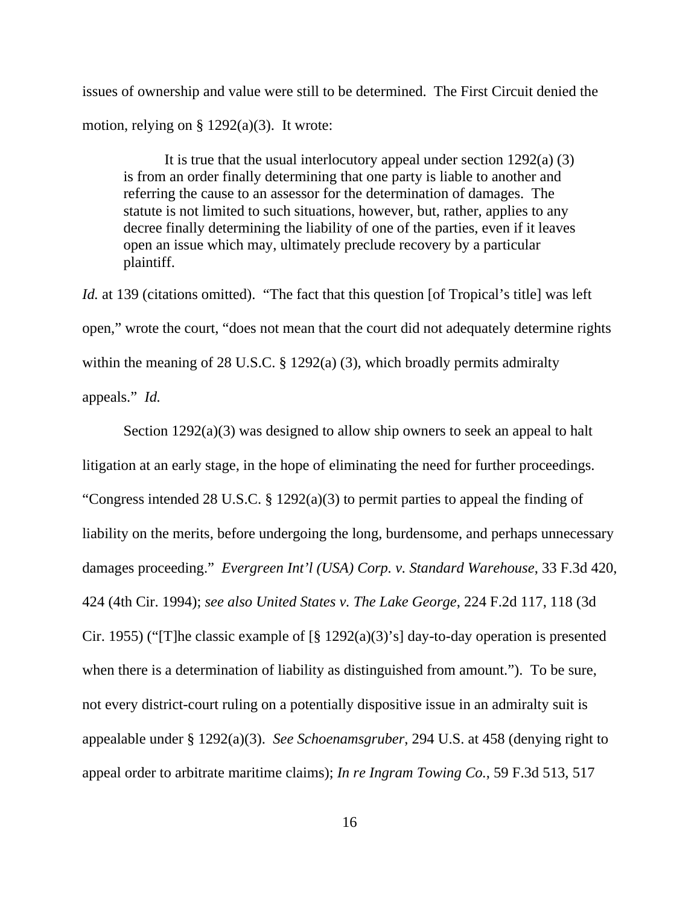issues of ownership and value were still to be determined. The First Circuit denied the motion, relying on  $\S 1292(a)(3)$ . It wrote:

It is true that the usual interlocutory appeal under section  $1292(a)$  (3) is from an order finally determining that one party is liable to another and referring the cause to an assessor for the determination of damages. The statute is not limited to such situations, however, but, rather, applies to any decree finally determining the liability of one of the parties, even if it leaves open an issue which may, ultimately preclude recovery by a particular plaintiff.

*Id.* at 139 (citations omitted). "The fact that this question [of Tropical's title] was left open," wrote the court, "does not mean that the court did not adequately determine rights within the meaning of 28 U.S.C. § 1292(a) (3), which broadly permits admiralty appeals." *Id.*

Section 1292(a)(3) was designed to allow ship owners to seek an appeal to halt litigation at an early stage, in the hope of eliminating the need for further proceedings. "Congress intended 28 U.S.C. § 1292(a)(3) to permit parties to appeal the finding of liability on the merits, before undergoing the long, burdensome, and perhaps unnecessary damages proceeding." *Evergreen Int'l (USA) Corp. v. Standard Warehouse*, 33 F.3d 420, 424 (4th Cir. 1994); *see also United States v. The Lake George*, 224 F.2d 117, 118 (3d Cir. 1955) ("[T]he classic example of  $\lceil \frac{8}{3} \cdot 1292(a)(3) \rceil$  day-to-day operation is presented when there is a determination of liability as distinguished from amount."). To be sure, not every district-court ruling on a potentially dispositive issue in an admiralty suit is appealable under § 1292(a)(3). *See Schoenamsgruber*, 294 U.S. at 458 (denying right to appeal order to arbitrate maritime claims); *In re Ingram Towing Co.*, 59 F.3d 513, 517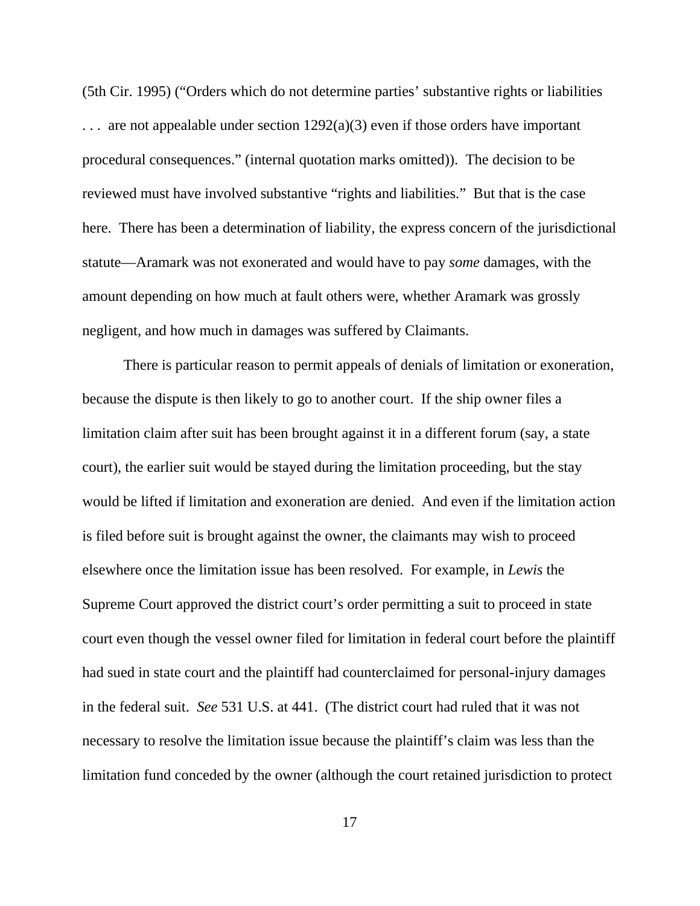(5th Cir. 1995) ("Orders which do not determine parties' substantive rights or liabilities  $\ldots$  are not appealable under section 1292(a)(3) even if those orders have important procedural consequences." (internal quotation marks omitted)). The decision to be reviewed must have involved substantive "rights and liabilities." But that is the case here. There has been a determination of liability, the express concern of the jurisdictional statute—Aramark was not exonerated and would have to pay *some* damages, with the amount depending on how much at fault others were, whether Aramark was grossly negligent, and how much in damages was suffered by Claimants.

There is particular reason to permit appeals of denials of limitation or exoneration, because the dispute is then likely to go to another court. If the ship owner files a limitation claim after suit has been brought against it in a different forum (say, a state court), the earlier suit would be stayed during the limitation proceeding, but the stay would be lifted if limitation and exoneration are denied. And even if the limitation action is filed before suit is brought against the owner, the claimants may wish to proceed elsewhere once the limitation issue has been resolved. For example, in *Lewis* the Supreme Court approved the district court's order permitting a suit to proceed in state court even though the vessel owner filed for limitation in federal court before the plaintiff had sued in state court and the plaintiff had counterclaimed for personal-injury damages in the federal suit. *See* 531 U.S. at 441. (The district court had ruled that it was not necessary to resolve the limitation issue because the plaintiff's claim was less than the limitation fund conceded by the owner (although the court retained jurisdiction to protect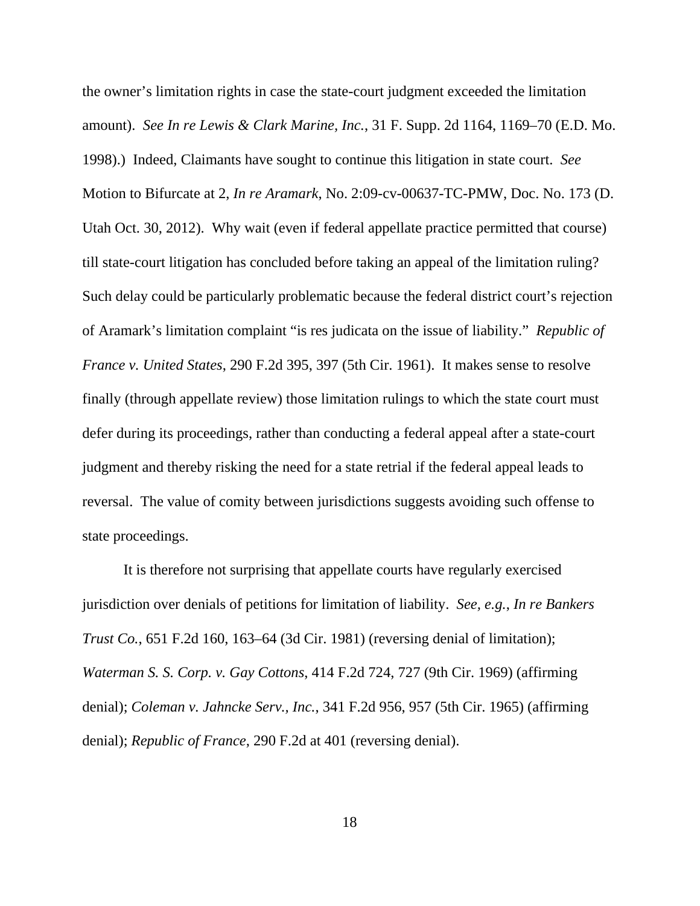the owner's limitation rights in case the state-court judgment exceeded the limitation amount). *See In re Lewis & Clark Marine, Inc.*, 31 F. Supp. 2d 1164, 1169–70 (E.D. Mo. 1998).) Indeed, Claimants have sought to continue this litigation in state court. *See*  Motion to Bifurcate at 2, *In re Aramark*, No. 2:09-cv-00637-TC-PMW, Doc. No. 173 (D. Utah Oct. 30, 2012). Why wait (even if federal appellate practice permitted that course) till state-court litigation has concluded before taking an appeal of the limitation ruling? Such delay could be particularly problematic because the federal district court's rejection of Aramark's limitation complaint "is res judicata on the issue of liability." *Republic of France v. United States*, 290 F.2d 395, 397 (5th Cir. 1961). It makes sense to resolve finally (through appellate review) those limitation rulings to which the state court must defer during its proceedings, rather than conducting a federal appeal after a state-court judgment and thereby risking the need for a state retrial if the federal appeal leads to reversal. The value of comity between jurisdictions suggests avoiding such offense to state proceedings.

It is therefore not surprising that appellate courts have regularly exercised jurisdiction over denials of petitions for limitation of liability. *See, e.g.*, *In re Bankers Trust Co.*, 651 F.2d 160, 163–64 (3d Cir. 1981) (reversing denial of limitation); *Waterman S. S. Corp. v. Gay Cottons*, 414 F.2d 724, 727 (9th Cir. 1969) (affirming denial); *Coleman v. Jahncke Serv., Inc.*, 341 F.2d 956, 957 (5th Cir. 1965) (affirming denial); *Republic of France*, 290 F.2d at 401 (reversing denial).

18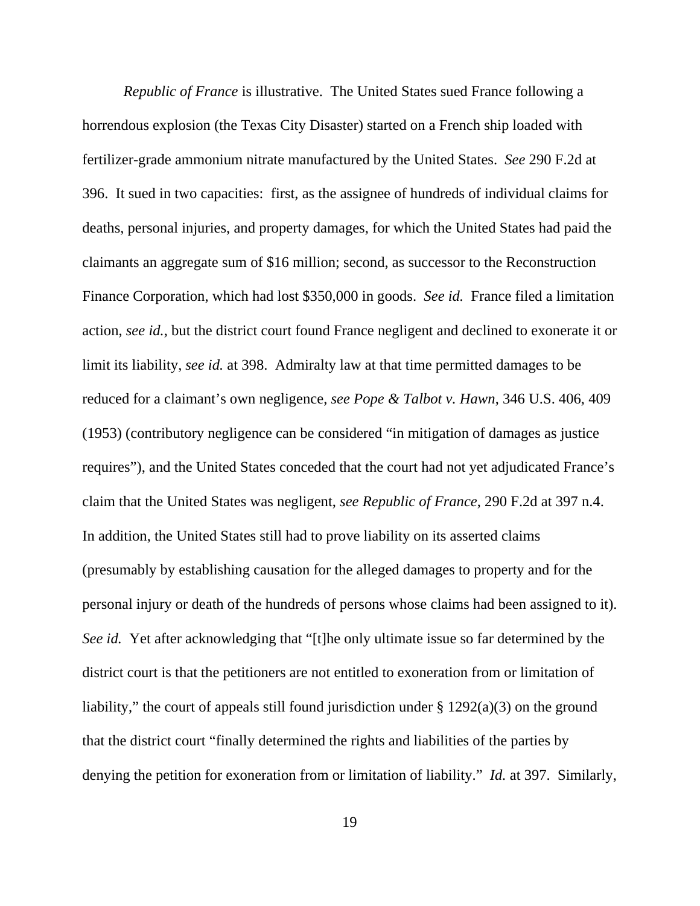*Republic of France* is illustrative. The United States sued France following a horrendous explosion (the Texas City Disaster) started on a French ship loaded with fertilizer-grade ammonium nitrate manufactured by the United States. *See* 290 F.2d at 396. It sued in two capacities: first, as the assignee of hundreds of individual claims for deaths, personal injuries, and property damages, for which the United States had paid the claimants an aggregate sum of \$16 million; second, as successor to the Reconstruction Finance Corporation, which had lost \$350,000 in goods. *See id.* France filed a limitation action, *see id.*, but the district court found France negligent and declined to exonerate it or limit its liability, *see id.* at 398. Admiralty law at that time permitted damages to be reduced for a claimant's own negligence, *see Pope & Talbot v. Hawn*, 346 U.S. 406, 409 (1953) (contributory negligence can be considered "in mitigation of damages as justice requires"), and the United States conceded that the court had not yet adjudicated France's claim that the United States was negligent, *see Republic of France*, 290 F.2d at 397 n.4. In addition, the United States still had to prove liability on its asserted claims (presumably by establishing causation for the alleged damages to property and for the personal injury or death of the hundreds of persons whose claims had been assigned to it). *See id.* Yet after acknowledging that "[t]he only ultimate issue so far determined by the district court is that the petitioners are not entitled to exoneration from or limitation of liability," the court of appeals still found jurisdiction under  $\S 1292(a)(3)$  on the ground that the district court "finally determined the rights and liabilities of the parties by denying the petition for exoneration from or limitation of liability." *Id.* at 397. Similarly,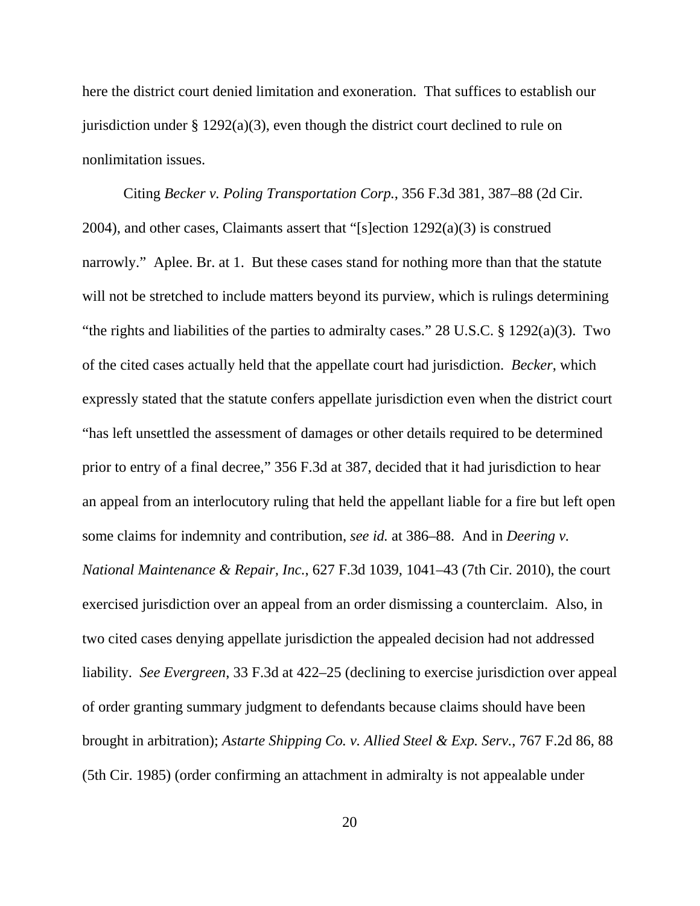here the district court denied limitation and exoneration. That suffices to establish our jurisdiction under  $\S 1292(a)(3)$ , even though the district court declined to rule on nonlimitation issues.

Citing *Becker v. Poling Transportation Corp.*, 356 F.3d 381, 387–88 (2d Cir. 2004), and other cases, Claimants assert that "[s]ection 1292(a)(3) is construed narrowly." Aplee. Br. at 1. But these cases stand for nothing more than that the statute will not be stretched to include matters beyond its purview, which is rulings determining "the rights and liabilities of the parties to admiralty cases." 28 U.S.C. § 1292(a)(3). Two of the cited cases actually held that the appellate court had jurisdiction. *Becker*, which expressly stated that the statute confers appellate jurisdiction even when the district court "has left unsettled the assessment of damages or other details required to be determined prior to entry of a final decree," 356 F.3d at 387, decided that it had jurisdiction to hear an appeal from an interlocutory ruling that held the appellant liable for a fire but left open some claims for indemnity and contribution, *see id.* at 386–88. And in *Deering v. National Maintenance & Repair, Inc.*, 627 F.3d 1039, 1041–43 (7th Cir. 2010), the court exercised jurisdiction over an appeal from an order dismissing a counterclaim. Also, in two cited cases denying appellate jurisdiction the appealed decision had not addressed liability. *See Evergreen*, 33 F.3d at 422–25 (declining to exercise jurisdiction over appeal of order granting summary judgment to defendants because claims should have been brought in arbitration); *Astarte Shipping Co. v. Allied Steel & Exp. Serv.*, 767 F.2d 86, 88 (5th Cir. 1985) (order confirming an attachment in admiralty is not appealable under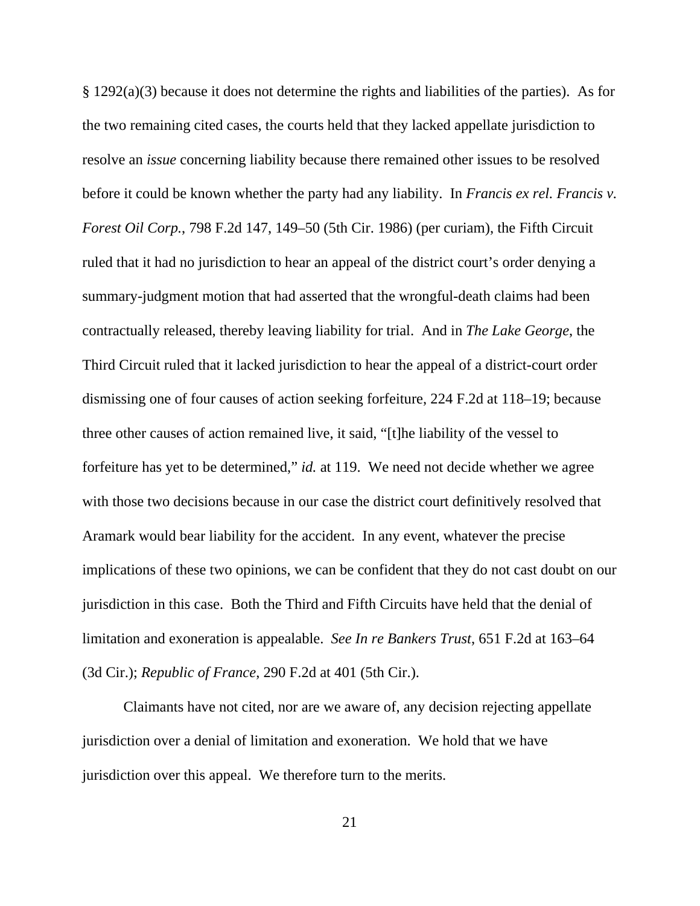§ 1292(a)(3) because it does not determine the rights and liabilities of the parties). As for the two remaining cited cases, the courts held that they lacked appellate jurisdiction to resolve an *issue* concerning liability because there remained other issues to be resolved before it could be known whether the party had any liability. In *Francis ex rel. Francis v. Forest Oil Corp.*, 798 F.2d 147, 149–50 (5th Cir. 1986) (per curiam), the Fifth Circuit ruled that it had no jurisdiction to hear an appeal of the district court's order denying a summary-judgment motion that had asserted that the wrongful-death claims had been contractually released, thereby leaving liability for trial. And in *The Lake George*, the Third Circuit ruled that it lacked jurisdiction to hear the appeal of a district-court order dismissing one of four causes of action seeking forfeiture, 224 F.2d at 118–19; because three other causes of action remained live, it said, "[t]he liability of the vessel to forfeiture has yet to be determined," *id.* at 119. We need not decide whether we agree with those two decisions because in our case the district court definitively resolved that Aramark would bear liability for the accident. In any event, whatever the precise implications of these two opinions, we can be confident that they do not cast doubt on our jurisdiction in this case. Both the Third and Fifth Circuits have held that the denial of limitation and exoneration is appealable. *See In re Bankers Trust*, 651 F.2d at 163–64 (3d Cir.); *Republic of France*, 290 F.2d at 401 (5th Cir.).

Claimants have not cited, nor are we aware of, any decision rejecting appellate jurisdiction over a denial of limitation and exoneration. We hold that we have jurisdiction over this appeal. We therefore turn to the merits.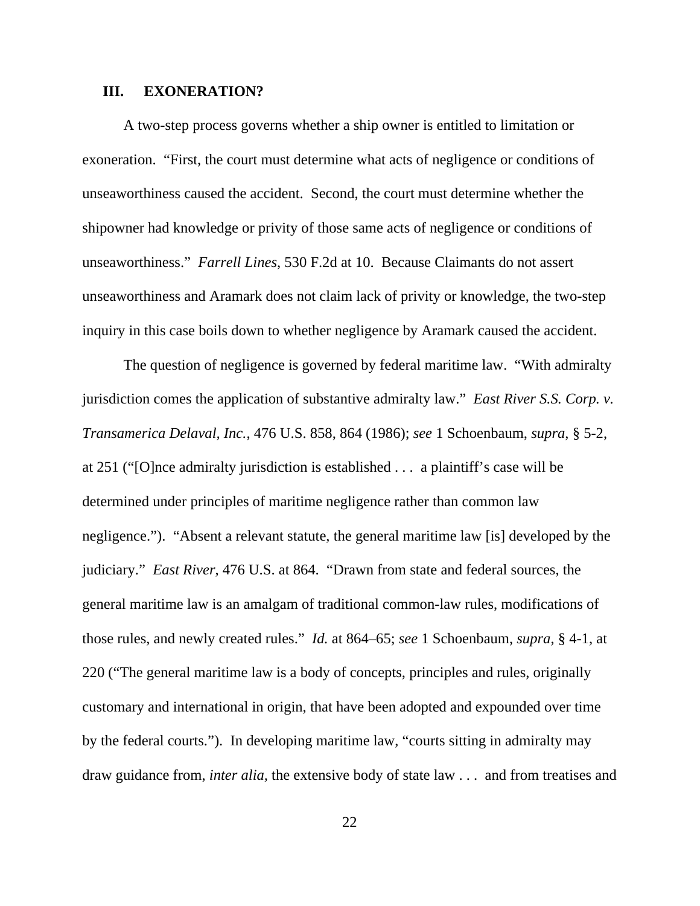### **III. EXONERATION?**

A two-step process governs whether a ship owner is entitled to limitation or exoneration. "First, the court must determine what acts of negligence or conditions of unseaworthiness caused the accident. Second, the court must determine whether the shipowner had knowledge or privity of those same acts of negligence or conditions of unseaworthiness." *Farrell Lines*, 530 F.2d at 10. Because Claimants do not assert unseaworthiness and Aramark does not claim lack of privity or knowledge, the two-step inquiry in this case boils down to whether negligence by Aramark caused the accident.

The question of negligence is governed by federal maritime law. "With admiralty jurisdiction comes the application of substantive admiralty law." *East River S.S. Corp. v. Transamerica Delaval, Inc.*, 476 U.S. 858, 864 (1986); *see* 1 Schoenbaum, *supra*, § 5-2, at 251 ("[O]nce admiralty jurisdiction is established . . . a plaintiff's case will be determined under principles of maritime negligence rather than common law negligence."). "Absent a relevant statute, the general maritime law [is] developed by the judiciary." *East River*, 476 U.S. at 864. "Drawn from state and federal sources, the general maritime law is an amalgam of traditional common-law rules, modifications of those rules, and newly created rules." *Id.* at 864–65; *see* 1 Schoenbaum, *supra*, § 4-1, at 220 ("The general maritime law is a body of concepts, principles and rules, originally customary and international in origin, that have been adopted and expounded over time by the federal courts."). In developing maritime law, "courts sitting in admiralty may draw guidance from, *inter alia,* the extensive body of state law . . . and from treatises and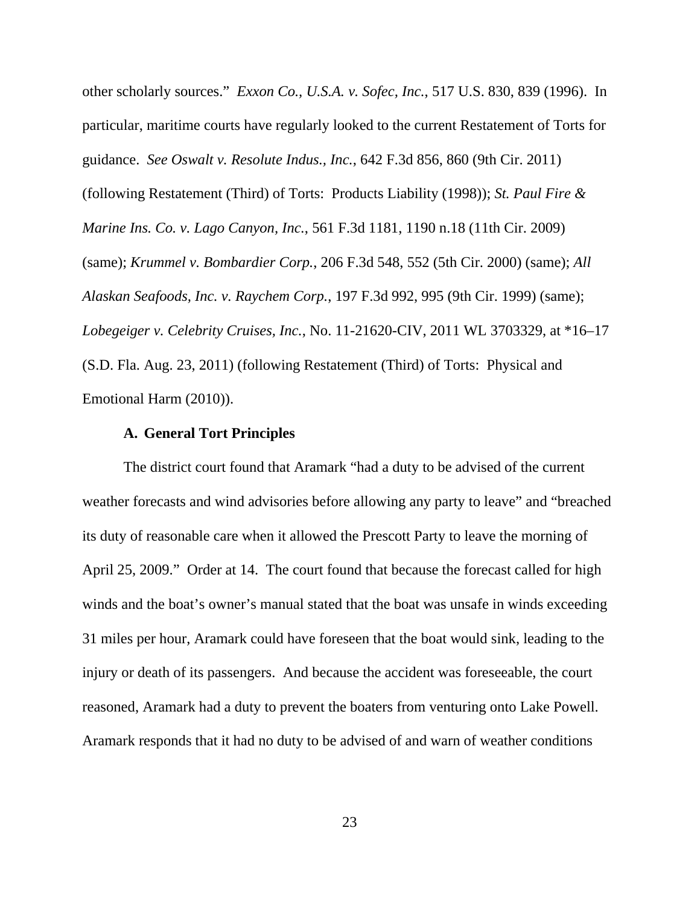other scholarly sources." *Exxon Co., U.S.A. v. Sofec, Inc.*, 517 U.S. 830, 839 (1996). In particular, maritime courts have regularly looked to the current Restatement of Torts for guidance. *See Oswalt v. Resolute Indus., Inc.*, 642 F.3d 856, 860 (9th Cir. 2011) (following Restatement (Third) of Torts: Products Liability (1998)); *St. Paul Fire & Marine Ins. Co. v. Lago Canyon, Inc.*, 561 F.3d 1181, 1190 n.18 (11th Cir. 2009) (same); *Krummel v. Bombardier Corp.*, 206 F.3d 548, 552 (5th Cir. 2000) (same); *All Alaskan Seafoods, Inc. v. Raychem Corp.*, 197 F.3d 992, 995 (9th Cir. 1999) (same); *Lobegeiger v. Celebrity Cruises, Inc.*, No. 11-21620-CIV, 2011 WL 3703329, at \*16–17 (S.D. Fla. Aug. 23, 2011) (following Restatement (Third) of Torts: Physical and Emotional Harm (2010)).

## **A. General Tort Principles**

The district court found that Aramark "had a duty to be advised of the current weather forecasts and wind advisories before allowing any party to leave" and "breached its duty of reasonable care when it allowed the Prescott Party to leave the morning of April 25, 2009." Order at 14. The court found that because the forecast called for high winds and the boat's owner's manual stated that the boat was unsafe in winds exceeding 31 miles per hour, Aramark could have foreseen that the boat would sink, leading to the injury or death of its passengers. And because the accident was foreseeable, the court reasoned, Aramark had a duty to prevent the boaters from venturing onto Lake Powell. Aramark responds that it had no duty to be advised of and warn of weather conditions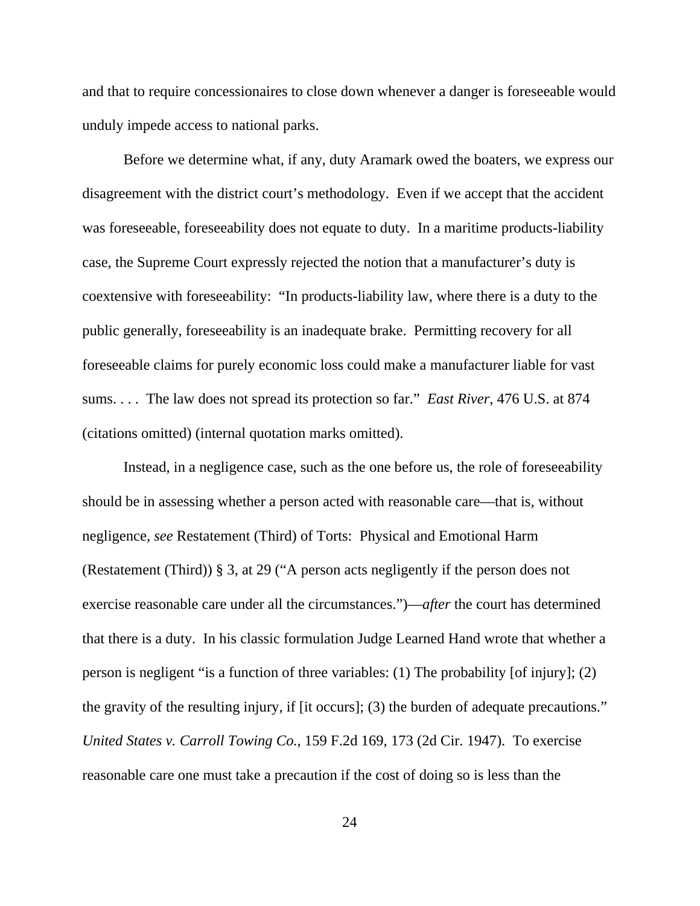and that to require concessionaires to close down whenever a danger is foreseeable would unduly impede access to national parks.

Before we determine what, if any, duty Aramark owed the boaters, we express our disagreement with the district court's methodology. Even if we accept that the accident was foreseeable, foreseeability does not equate to duty. In a maritime products-liability case, the Supreme Court expressly rejected the notion that a manufacturer's duty is coextensive with foreseeability: "In products-liability law, where there is a duty to the public generally, foreseeability is an inadequate brake. Permitting recovery for all foreseeable claims for purely economic loss could make a manufacturer liable for vast sums. . . . The law does not spread its protection so far." *East River*, 476 U.S. at 874 (citations omitted) (internal quotation marks omitted).

Instead, in a negligence case, such as the one before us, the role of foreseeability should be in assessing whether a person acted with reasonable care—that is, without negligence, *see* Restatement (Third) of Torts: Physical and Emotional Harm (Restatement (Third)) § 3, at 29 ("A person acts negligently if the person does not exercise reasonable care under all the circumstances.")—*after* the court has determined that there is a duty. In his classic formulation Judge Learned Hand wrote that whether a person is negligent "is a function of three variables: (1) The probability [of injury]; (2) the gravity of the resulting injury, if [it occurs]; (3) the burden of adequate precautions." *United States v. Carroll Towing Co.*, 159 F.2d 169, 173 (2d Cir. 1947). To exercise reasonable care one must take a precaution if the cost of doing so is less than the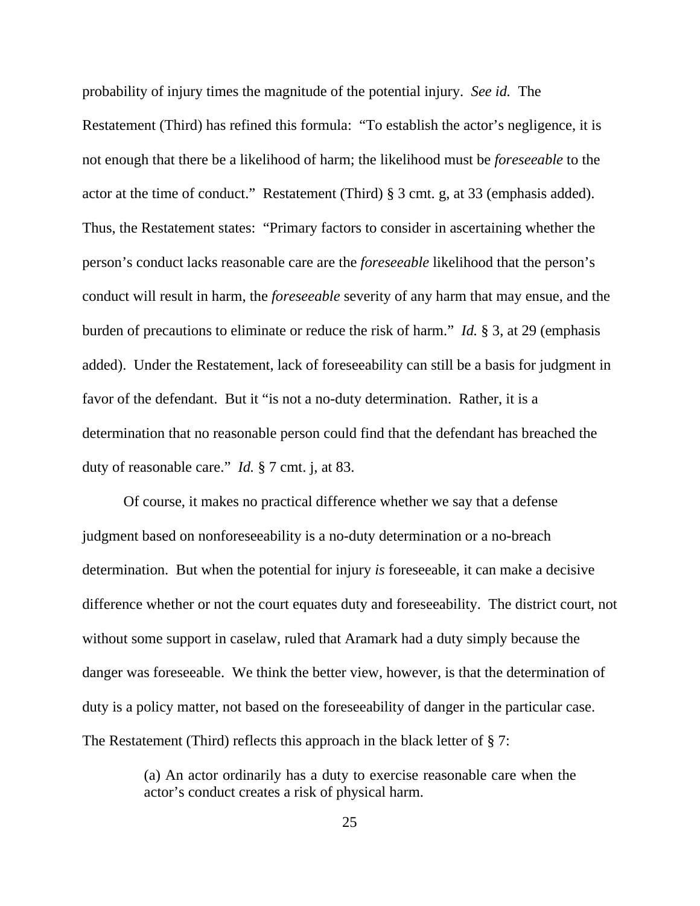probability of injury times the magnitude of the potential injury. *See id.* The Restatement (Third) has refined this formula: "To establish the actor's negligence, it is not enough that there be a likelihood of harm; the likelihood must be *foreseeable* to the actor at the time of conduct." Restatement (Third) § 3 cmt. g, at 33 (emphasis added). Thus, the Restatement states: "Primary factors to consider in ascertaining whether the person's conduct lacks reasonable care are the *foreseeable* likelihood that the person's conduct will result in harm, the *foreseeable* severity of any harm that may ensue, and the burden of precautions to eliminate or reduce the risk of harm." *Id.* § 3, at 29 (emphasis added). Under the Restatement, lack of foreseeability can still be a basis for judgment in favor of the defendant. But it "is not a no-duty determination. Rather, it is a determination that no reasonable person could find that the defendant has breached the duty of reasonable care." *Id.* § 7 cmt. j, at 83.

Of course, it makes no practical difference whether we say that a defense judgment based on nonforeseeability is a no-duty determination or a no-breach determination. But when the potential for injury *is* foreseeable, it can make a decisive difference whether or not the court equates duty and foreseeability. The district court, not without some support in caselaw, ruled that Aramark had a duty simply because the danger was foreseeable. We think the better view, however, is that the determination of duty is a policy matter, not based on the foreseeability of danger in the particular case. The Restatement (Third) reflects this approach in the black letter of  $\S 7$ :

> (a) An actor ordinarily has a duty to exercise reasonable care when the actor's conduct creates a risk of physical harm.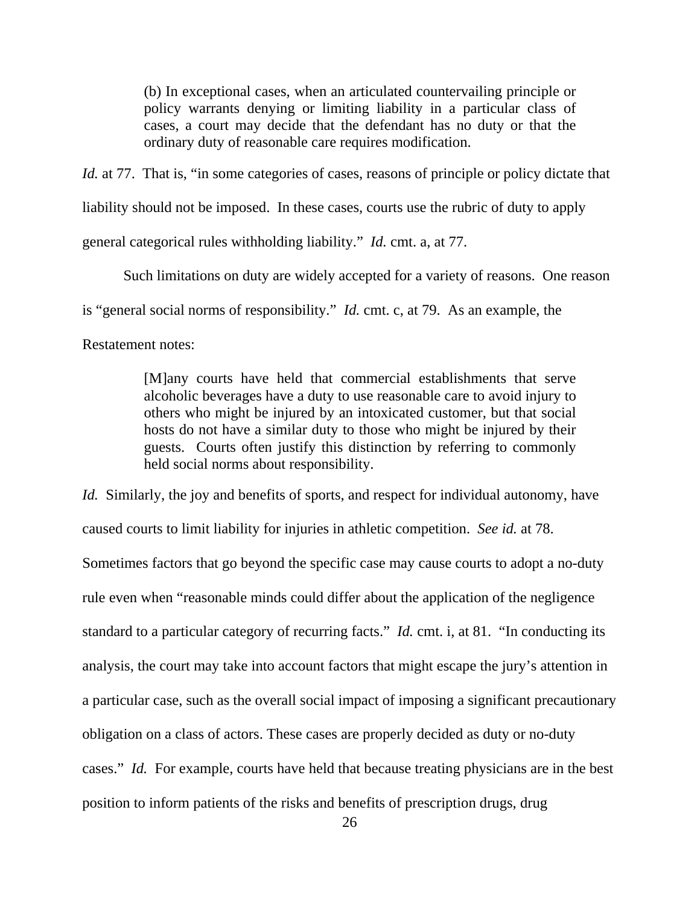(b) In exceptional cases, when an articulated countervailing principle or policy warrants denying or limiting liability in a particular class of cases, a court may decide that the defendant has no duty or that the ordinary duty of reasonable care requires modification.

*Id.* at 77. That is, "in some categories of cases, reasons of principle or policy dictate that liability should not be imposed. In these cases, courts use the rubric of duty to apply general categorical rules withholding liability." *Id.* cmt. a, at 77.

Such limitations on duty are widely accepted for a variety of reasons. One reason

is "general social norms of responsibility." *Id.* cmt. c, at 79. As an example, the

Restatement notes:

[M]any courts have held that commercial establishments that serve alcoholic beverages have a duty to use reasonable care to avoid injury to others who might be injured by an intoxicated customer, but that social hosts do not have a similar duty to those who might be injured by their guests. Courts often justify this distinction by referring to commonly held social norms about responsibility.

*Id.* Similarly, the joy and benefits of sports, and respect for individual autonomy, have caused courts to limit liability for injuries in athletic competition. *See id.* at 78. Sometimes factors that go beyond the specific case may cause courts to adopt a no-duty rule even when "reasonable minds could differ about the application of the negligence standard to a particular category of recurring facts." *Id.* cmt. i, at 81. "In conducting its analysis, the court may take into account factors that might escape the jury's attention in a particular case, such as the overall social impact of imposing a significant precautionary obligation on a class of actors. These cases are properly decided as duty or no-duty cases." *Id.* For example, courts have held that because treating physicians are in the best position to inform patients of the risks and benefits of prescription drugs, drug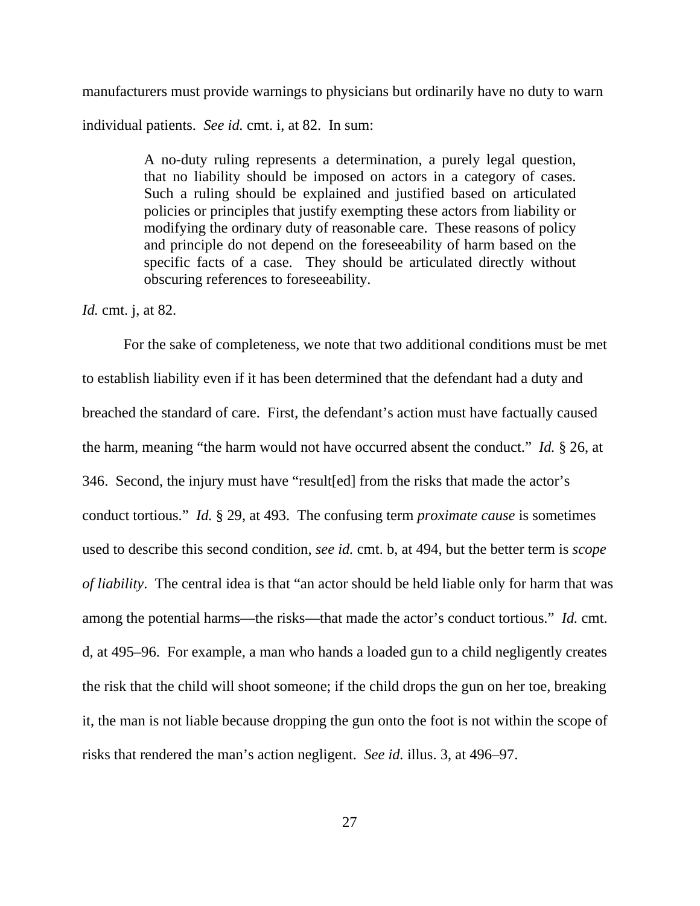manufacturers must provide warnings to physicians but ordinarily have no duty to warn individual patients. *See id.* cmt. i, at 82. In sum:

> A no-duty ruling represents a determination, a purely legal question, that no liability should be imposed on actors in a category of cases. Such a ruling should be explained and justified based on articulated policies or principles that justify exempting these actors from liability or modifying the ordinary duty of reasonable care. These reasons of policy and principle do not depend on the foreseeability of harm based on the specific facts of a case. They should be articulated directly without obscuring references to foreseeability.

#### *Id.* cmt. j, at 82.

For the sake of completeness, we note that two additional conditions must be met to establish liability even if it has been determined that the defendant had a duty and breached the standard of care. First, the defendant's action must have factually caused the harm, meaning "the harm would not have occurred absent the conduct." *Id.* § 26, at 346. Second, the injury must have "result[ed] from the risks that made the actor's conduct tortious." *Id.* § 29, at 493. The confusing term *proximate cause* is sometimes used to describe this second condition, *see id.* cmt. b, at 494, but the better term is *scope of liability*. The central idea is that "an actor should be held liable only for harm that was among the potential harms—the risks—that made the actor's conduct tortious." *Id.* cmt. d, at 495–96. For example, a man who hands a loaded gun to a child negligently creates the risk that the child will shoot someone; if the child drops the gun on her toe, breaking it, the man is not liable because dropping the gun onto the foot is not within the scope of risks that rendered the man's action negligent. *See id.* illus. 3, at 496–97.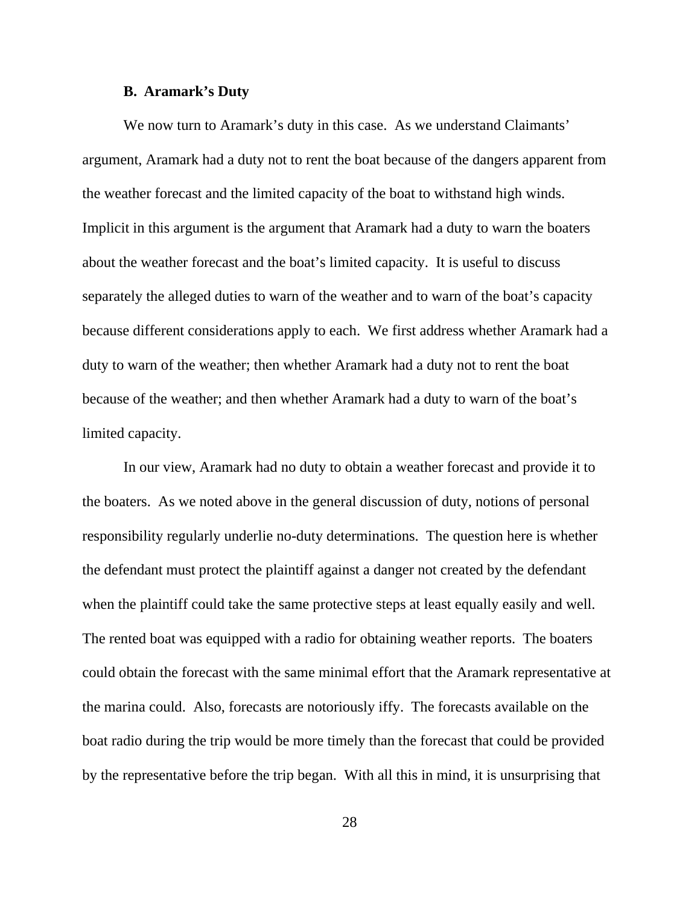#### **B. Aramark's Duty**

We now turn to Aramark's duty in this case. As we understand Claimants' argument, Aramark had a duty not to rent the boat because of the dangers apparent from the weather forecast and the limited capacity of the boat to withstand high winds. Implicit in this argument is the argument that Aramark had a duty to warn the boaters about the weather forecast and the boat's limited capacity. It is useful to discuss separately the alleged duties to warn of the weather and to warn of the boat's capacity because different considerations apply to each. We first address whether Aramark had a duty to warn of the weather; then whether Aramark had a duty not to rent the boat because of the weather; and then whether Aramark had a duty to warn of the boat's limited capacity.

In our view, Aramark had no duty to obtain a weather forecast and provide it to the boaters. As we noted above in the general discussion of duty, notions of personal responsibility regularly underlie no-duty determinations. The question here is whether the defendant must protect the plaintiff against a danger not created by the defendant when the plaintiff could take the same protective steps at least equally easily and well. The rented boat was equipped with a radio for obtaining weather reports. The boaters could obtain the forecast with the same minimal effort that the Aramark representative at the marina could. Also, forecasts are notoriously iffy. The forecasts available on the boat radio during the trip would be more timely than the forecast that could be provided by the representative before the trip began. With all this in mind, it is unsurprising that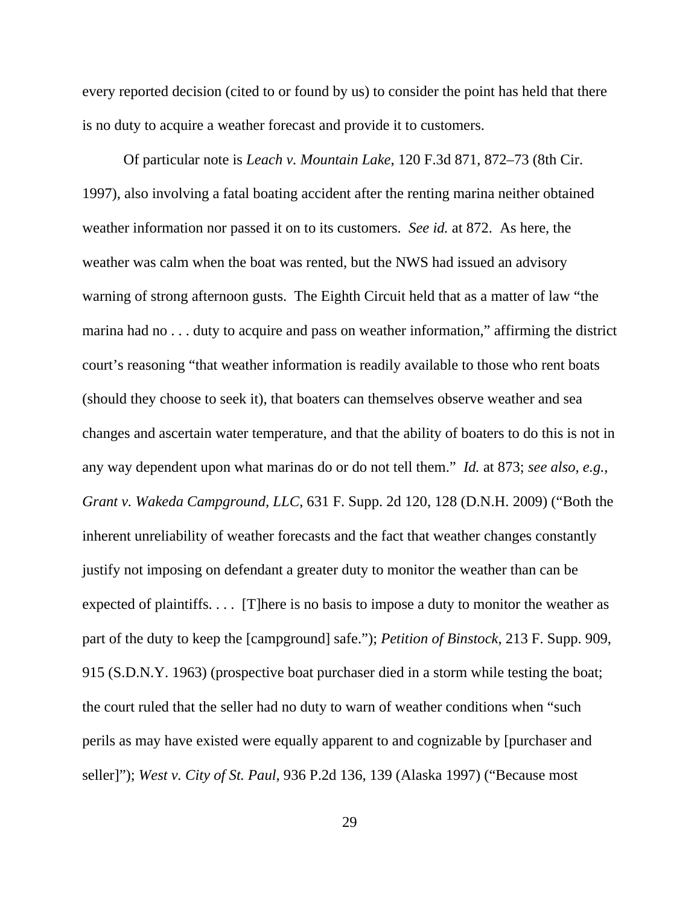every reported decision (cited to or found by us) to consider the point has held that there is no duty to acquire a weather forecast and provide it to customers.

Of particular note is *Leach v. Mountain Lake*, 120 F.3d 871, 872–73 (8th Cir. 1997), also involving a fatal boating accident after the renting marina neither obtained weather information nor passed it on to its customers. *See id.* at 872. As here, the weather was calm when the boat was rented, but the NWS had issued an advisory warning of strong afternoon gusts. The Eighth Circuit held that as a matter of law "the marina had no . . . duty to acquire and pass on weather information," affirming the district court's reasoning "that weather information is readily available to those who rent boats (should they choose to seek it), that boaters can themselves observe weather and sea changes and ascertain water temperature, and that the ability of boaters to do this is not in any way dependent upon what marinas do or do not tell them." *Id.* at 873; *see also, e.g.*, *Grant v. Wakeda Campground, LLC*, 631 F. Supp. 2d 120, 128 (D.N.H. 2009) ("Both the inherent unreliability of weather forecasts and the fact that weather changes constantly justify not imposing on defendant a greater duty to monitor the weather than can be expected of plaintiffs. . . . [T]here is no basis to impose a duty to monitor the weather as part of the duty to keep the [campground] safe."); *Petition of Binstock*, 213 F. Supp. 909, 915 (S.D.N.Y. 1963) (prospective boat purchaser died in a storm while testing the boat; the court ruled that the seller had no duty to warn of weather conditions when "such perils as may have existed were equally apparent to and cognizable by [purchaser and seller]"); *West v. City of St. Paul*, 936 P.2d 136, 139 (Alaska 1997) ("Because most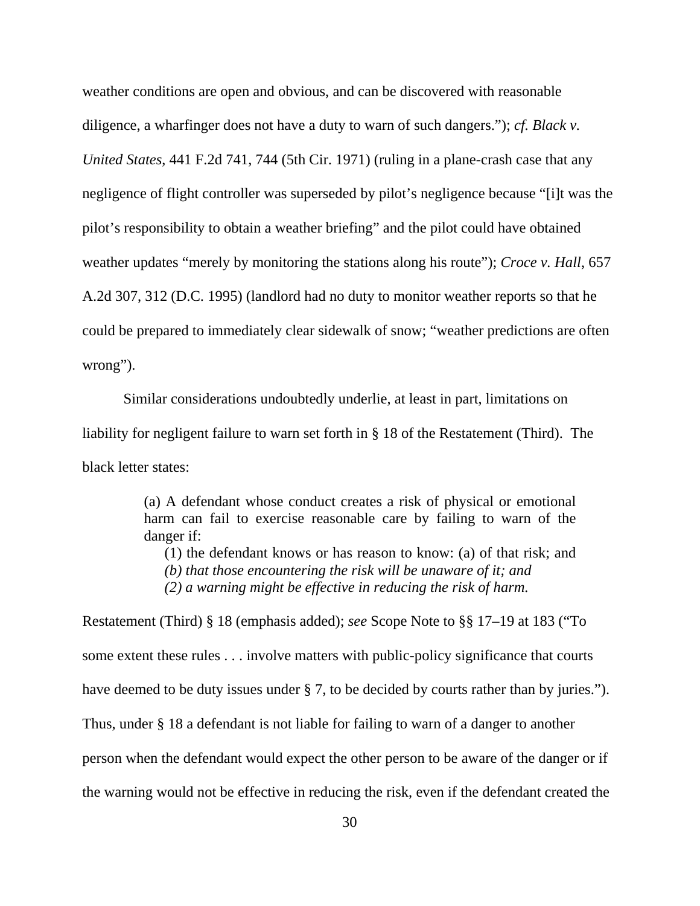weather conditions are open and obvious, and can be discovered with reasonable diligence, a wharfinger does not have a duty to warn of such dangers."); *cf. Black v. United States*, 441 F.2d 741, 744 (5th Cir. 1971) (ruling in a plane-crash case that any negligence of flight controller was superseded by pilot's negligence because "[i]t was the pilot's responsibility to obtain a weather briefing" and the pilot could have obtained weather updates "merely by monitoring the stations along his route"); *Croce v. Hall*, 657 A.2d 307, 312 (D.C. 1995) (landlord had no duty to monitor weather reports so that he could be prepared to immediately clear sidewalk of snow; "weather predictions are often wrong").

Similar considerations undoubtedly underlie, at least in part, limitations on liability for negligent failure to warn set forth in § 18 of the Restatement (Third). The black letter states:

> (a) A defendant whose conduct creates a risk of physical or emotional harm can fail to exercise reasonable care by failing to warn of the danger if:

(1) the defendant knows or has reason to know: (a) of that risk; and *(b) that those encountering the risk will be unaware of it; and (2) a warning might be effective in reducing the risk of harm.* 

Restatement (Third) § 18 (emphasis added); *see* Scope Note to §§ 17–19 at 183 ("To some extent these rules . . . involve matters with public-policy significance that courts have deemed to be duty issues under § 7, to be decided by courts rather than by juries."). Thus, under § 18 a defendant is not liable for failing to warn of a danger to another person when the defendant would expect the other person to be aware of the danger or if the warning would not be effective in reducing the risk, even if the defendant created the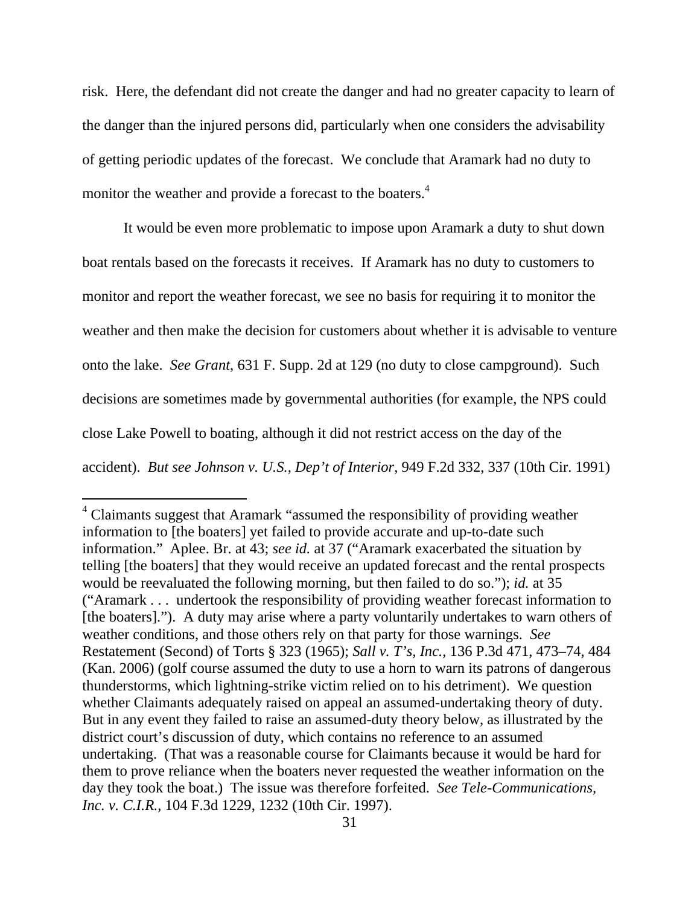risk. Here, the defendant did not create the danger and had no greater capacity to learn of the danger than the injured persons did, particularly when one considers the advisability of getting periodic updates of the forecast. We conclude that Aramark had no duty to monitor the weather and provide a forecast to the boaters.<sup>4</sup>

It would be even more problematic to impose upon Aramark a duty to shut down boat rentals based on the forecasts it receives. If Aramark has no duty to customers to monitor and report the weather forecast, we see no basis for requiring it to monitor the weather and then make the decision for customers about whether it is advisable to venture onto the lake. *See Grant*, 631 F. Supp. 2d at 129 (no duty to close campground). Such decisions are sometimes made by governmental authorities (for example, the NPS could close Lake Powell to boating, although it did not restrict access on the day of the accident). *But see Johnson v. U.S., Dep't of Interior*, 949 F.2d 332, 337 (10th Cir. 1991)

 $\overline{a}$ 

<sup>&</sup>lt;sup>4</sup> Claimants suggest that Aramark "assumed the responsibility of providing weather information to [the boaters] yet failed to provide accurate and up-to-date such information." Aplee. Br. at 43; *see id.* at 37 ("Aramark exacerbated the situation by telling [the boaters] that they would receive an updated forecast and the rental prospects would be reevaluated the following morning, but then failed to do so."); *id.* at 35 ("Aramark . . . undertook the responsibility of providing weather forecast information to [the boaters]."). A duty may arise where a party voluntarily undertakes to warn others of weather conditions, and those others rely on that party for those warnings. *See*  Restatement (Second) of Torts § 323 (1965); *Sall v. T's, Inc.*, 136 P.3d 471, 473–74, 484 (Kan. 2006) (golf course assumed the duty to use a horn to warn its patrons of dangerous thunderstorms, which lightning-strike victim relied on to his detriment). We question whether Claimants adequately raised on appeal an assumed-undertaking theory of duty. But in any event they failed to raise an assumed-duty theory below, as illustrated by the district court's discussion of duty, which contains no reference to an assumed undertaking. (That was a reasonable course for Claimants because it would be hard for them to prove reliance when the boaters never requested the weather information on the day they took the boat.) The issue was therefore forfeited. *See Tele-Communications, Inc. v. C.I.R.*, 104 F.3d 1229, 1232 (10th Cir. 1997).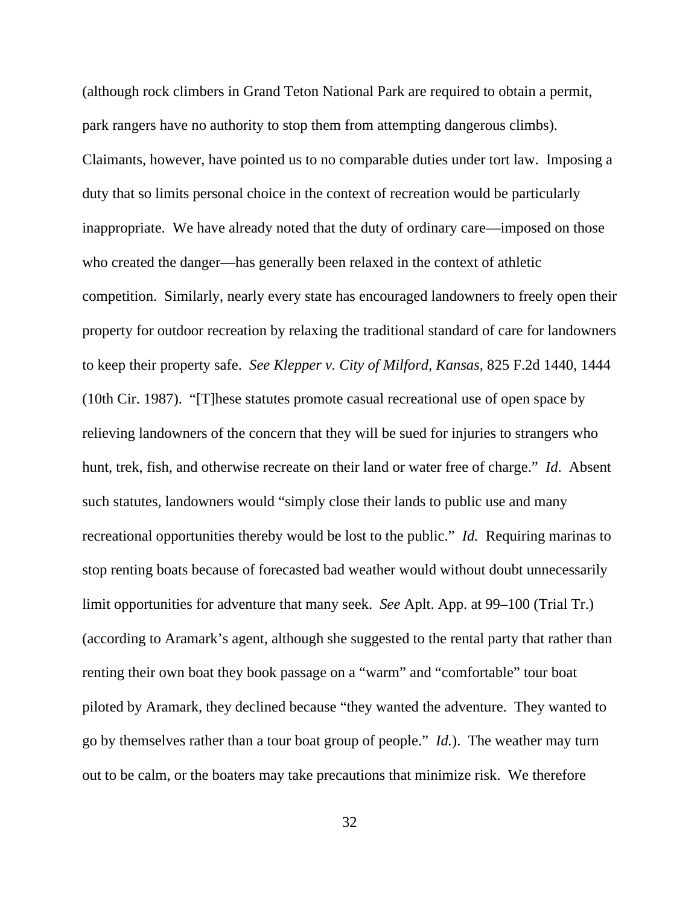(although rock climbers in Grand Teton National Park are required to obtain a permit, park rangers have no authority to stop them from attempting dangerous climbs). Claimants, however, have pointed us to no comparable duties under tort law. Imposing a duty that so limits personal choice in the context of recreation would be particularly inappropriate. We have already noted that the duty of ordinary care—imposed on those who created the danger—has generally been relaxed in the context of athletic competition. Similarly, nearly every state has encouraged landowners to freely open their property for outdoor recreation by relaxing the traditional standard of care for landowners to keep their property safe. *See Klepper v. City of Milford, Kansas*, 825 F.2d 1440, 1444 (10th Cir. 1987). "[T]hese statutes promote casual recreational use of open space by relieving landowners of the concern that they will be sued for injuries to strangers who hunt, trek, fish, and otherwise recreate on their land or water free of charge." *Id*. Absent such statutes, landowners would "simply close their lands to public use and many recreational opportunities thereby would be lost to the public." *Id.* Requiring marinas to stop renting boats because of forecasted bad weather would without doubt unnecessarily limit opportunities for adventure that many seek. *See* Aplt. App. at 99–100 (Trial Tr.) (according to Aramark's agent, although she suggested to the rental party that rather than renting their own boat they book passage on a "warm" and "comfortable" tour boat piloted by Aramark, they declined because "they wanted the adventure. They wanted to go by themselves rather than a tour boat group of people." *Id.*). The weather may turn out to be calm, or the boaters may take precautions that minimize risk. We therefore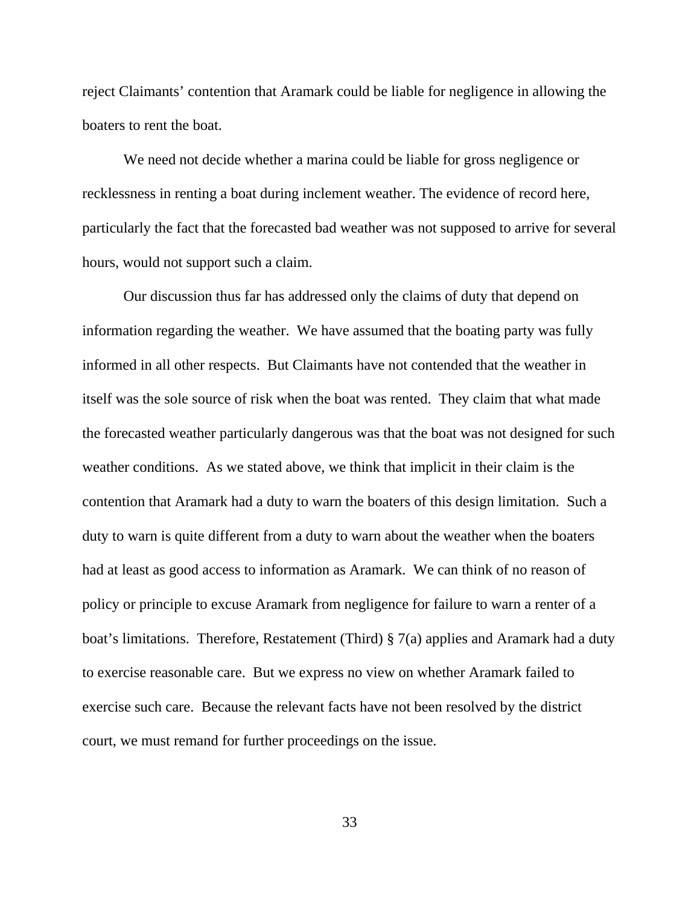reject Claimants' contention that Aramark could be liable for negligence in allowing the boaters to rent the boat.

We need not decide whether a marina could be liable for gross negligence or recklessness in renting a boat during inclement weather. The evidence of record here, particularly the fact that the forecasted bad weather was not supposed to arrive for several hours, would not support such a claim.

Our discussion thus far has addressed only the claims of duty that depend on information regarding the weather. We have assumed that the boating party was fully informed in all other respects. But Claimants have not contended that the weather in itself was the sole source of risk when the boat was rented. They claim that what made the forecasted weather particularly dangerous was that the boat was not designed for such weather conditions. As we stated above, we think that implicit in their claim is the contention that Aramark had a duty to warn the boaters of this design limitation. Such a duty to warn is quite different from a duty to warn about the weather when the boaters had at least as good access to information as Aramark. We can think of no reason of policy or principle to excuse Aramark from negligence for failure to warn a renter of a boat's limitations. Therefore, Restatement (Third) § 7(a) applies and Aramark had a duty to exercise reasonable care. But we express no view on whether Aramark failed to exercise such care. Because the relevant facts have not been resolved by the district court, we must remand for further proceedings on the issue.

33